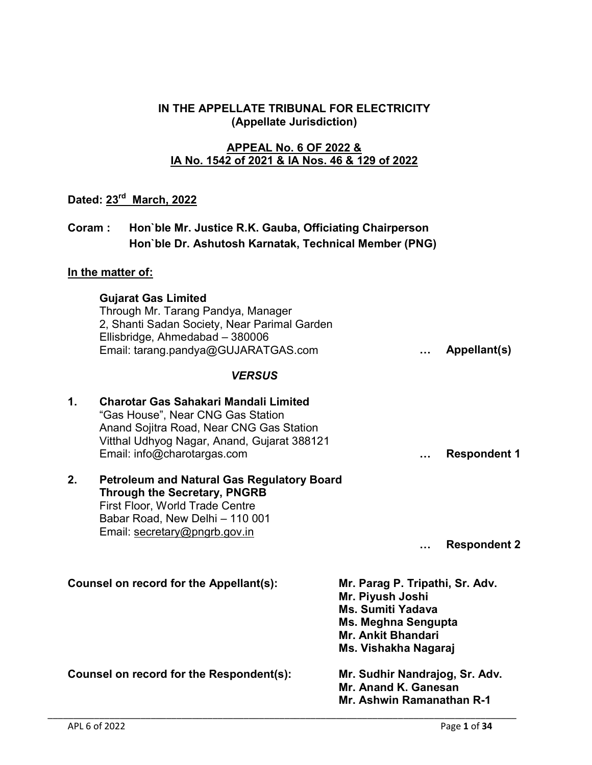### IN THE APPELLATE TRIBUNAL FOR ELECTRICITY (Appellate Jurisdiction)

### APPEAL No. 6 OF 2022 & IA No. 1542 of 2021 & IA Nos. 46 & 129 of 2022

# Dated: 23rd March, 2022

## Coram : Hon`ble Mr. Justice R.K. Gauba, Officiating Chairperson Hon`ble Dr. Ashutosh Karnatak, Technical Member (PNG)

## In the matter of:

|                                          | <b>Gujarat Gas Limited</b><br>Through Mr. Tarang Pandya, Manager<br>2, Shanti Sadan Society, Near Parimal Garden<br>Ellisbridge, Ahmedabad - 380006<br>Email: tarang.pandya@GUJARATGAS.com           |                                                                                                                                                             |  | Appellant(s)        |
|------------------------------------------|------------------------------------------------------------------------------------------------------------------------------------------------------------------------------------------------------|-------------------------------------------------------------------------------------------------------------------------------------------------------------|--|---------------------|
|                                          | <b>VERSUS</b>                                                                                                                                                                                        |                                                                                                                                                             |  |                     |
| 1.                                       | Charotar Gas Sahakari Mandali Limited<br>"Gas House", Near CNG Gas Station<br>Anand Sojitra Road, Near CNG Gas Station<br>Vitthal Udhyog Nagar, Anand, Gujarat 388121<br>Email: info@charotargas.com |                                                                                                                                                             |  | <b>Respondent 1</b> |
| 2.                                       | <b>Petroleum and Natural Gas Regulatory Board</b><br><b>Through the Secretary, PNGRB</b><br>First Floor, World Trade Centre<br>Babar Road, New Delhi - 110 001<br>Email: secretary@pngrb.gov.in      |                                                                                                                                                             |  | <b>Respondent 2</b> |
| Counsel on record for the Appellant(s):  |                                                                                                                                                                                                      | Mr. Parag P. Tripathi, Sr. Adv.<br>Mr. Piyush Joshi<br><b>Ms. Sumiti Yadava</b><br>Ms. Meghna Sengupta<br><b>Mr. Ankit Bhandari</b><br>Ms. Vishakha Nagaraj |  |                     |
| Counsel on record for the Respondent(s): |                                                                                                                                                                                                      | Mr. Sudhir Nandrajog, Sr. Adv.<br>Mr. Anand K. Ganesan<br>Mr. Ashwin Ramanathan R-1                                                                         |  |                     |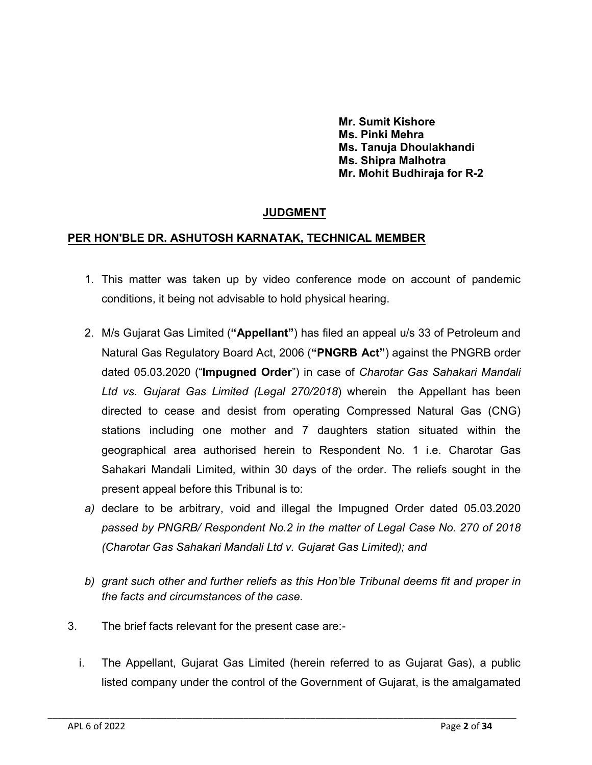Mr. Sumit Kishore Ms. Pinki Mehra Ms. Tanuja Dhoulakhandi Ms. Shipra Malhotra Mr. Mohit Budhiraja for R-2

## JUDGMENT

#### PER HON'BLE DR. ASHUTOSH KARNATAK, TECHNICAL MEMBER

- 1. This matter was taken up by video conference mode on account of pandemic conditions, it being not advisable to hold physical hearing.
- 2. M/s Gujarat Gas Limited ("Appellant") has filed an appeal u/s 33 of Petroleum and Natural Gas Regulatory Board Act, 2006 ("PNGRB Act") against the PNGRB order dated 05.03.2020 ("Impugned Order") in case of *Charotar Gas Sahakari Mandali Ltd vs. Gujarat Gas Limited (Legal 270/2018*) wherein the Appellant has been directed to cease and desist from operating Compressed Natural Gas (CNG) stations including one mother and 7 daughters station situated within the geographical area authorised herein to Respondent No. 1 i.e. Charotar Gas Sahakari Mandali Limited, within 30 days of the order. The reliefs sought in the present appeal before this Tribunal is to:
- *a)* declare to be arbitrary, void and illegal the Impugned Order dated 05.03.2020 *passed by PNGRB/ Respondent No.2 in the matter of Legal Case No. 270 of 2018 (Charotar Gas Sahakari Mandali Ltd v. Gujarat Gas Limited); and*
- *b) grant such other and further reliefs as this Hon'ble Tribunal deems fit and proper in the facts and circumstances of the case.*
- 3. The brief facts relevant for the present case are:
	- i. The Appellant, Gujarat Gas Limited (herein referred to as Gujarat Gas), a public listed company under the control of the Government of Gujarat, is the amalgamated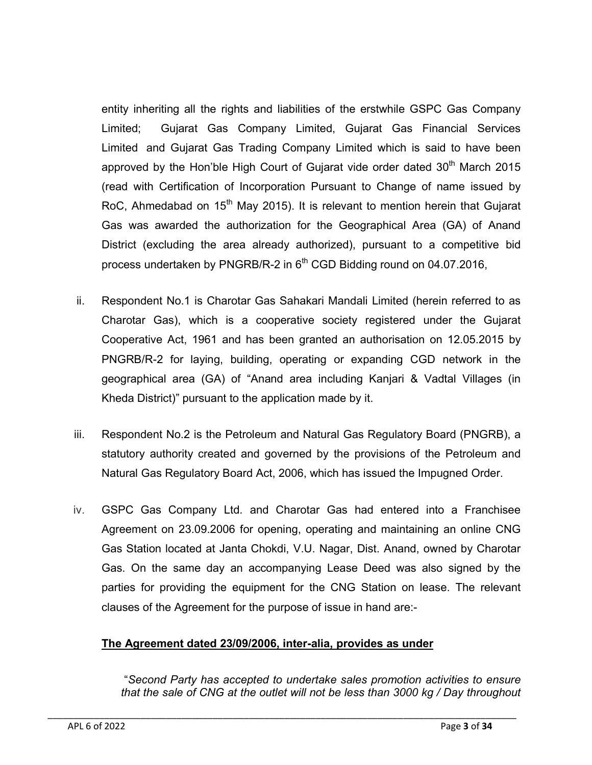entity inheriting all the rights and liabilities of the erstwhile GSPC Gas Company Limited; Gujarat Gas Company Limited, Gujarat Gas Financial Services Limited and Gujarat Gas Trading Company Limited which is said to have been approved by the Hon'ble High Court of Gujarat vide order dated  $30<sup>th</sup>$  March 2015 (read with Certification of Incorporation Pursuant to Change of name issued by RoC, Ahmedabad on  $15<sup>th</sup>$  May 2015). It is relevant to mention herein that Gujarat Gas was awarded the authorization for the Geographical Area (GA) of Anand District (excluding the area already authorized), pursuant to a competitive bid process undertaken by PNGRB/R-2 in  $6<sup>th</sup>$  CGD Bidding round on 04.07.2016,

- ii. Respondent No.1 is Charotar Gas Sahakari Mandali Limited (herein referred to as Charotar Gas), which is a cooperative society registered under the Gujarat Cooperative Act, 1961 and has been granted an authorisation on 12.05.2015 by PNGRB/R-2 for laying, building, operating or expanding CGD network in the geographical area (GA) of "Anand area including Kanjari & Vadtal Villages (in Kheda District)" pursuant to the application made by it.
- iii. Respondent No.2 is the Petroleum and Natural Gas Regulatory Board (PNGRB), a statutory authority created and governed by the provisions of the Petroleum and Natural Gas Regulatory Board Act, 2006, which has issued the Impugned Order.
- iv. GSPC Gas Company Ltd. and Charotar Gas had entered into a Franchisee Agreement on 23.09.2006 for opening, operating and maintaining an online CNG Gas Station located at Janta Chokdi, V.U. Nagar, Dist. Anand, owned by Charotar Gas. On the same day an accompanying Lease Deed was also signed by the parties for providing the equipment for the CNG Station on lease. The relevant clauses of the Agreement for the purpose of issue in hand are:-

## The Agreement dated 23/09/2006, inter-alia, provides as under

\_\_\_\_\_\_\_\_\_\_\_\_\_\_\_\_\_\_\_\_\_\_\_\_\_\_\_\_\_\_\_\_\_\_\_\_\_\_\_\_\_\_\_\_\_\_\_\_\_\_\_\_\_\_\_\_\_\_\_\_\_\_\_\_\_\_\_\_\_\_\_\_\_\_\_\_\_\_\_\_\_\_\_\_\_\_\_\_\_\_\_

"*Second Party has accepted to undertake sales promotion activities to ensure that the sale of CNG at the outlet will not be less than 3000 kg / Day throughout*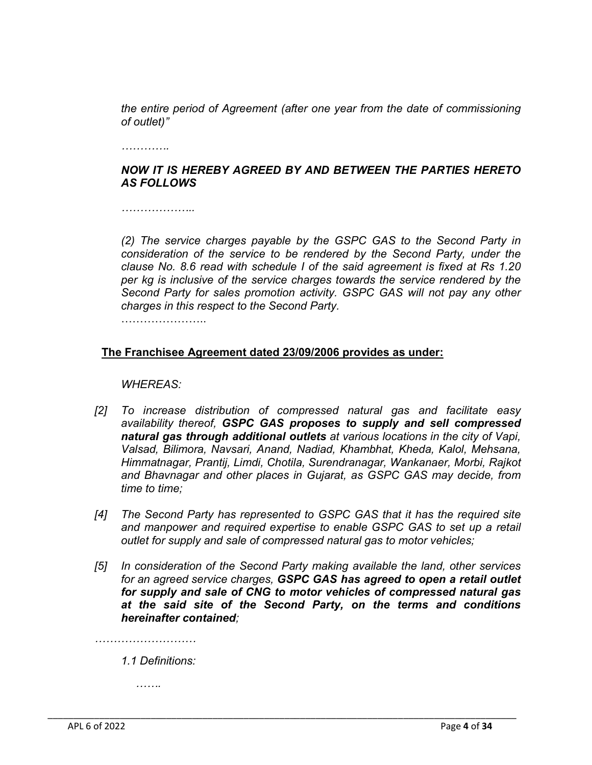*the entire period of Agreement (after one year from the date of commissioning of outlet)"* 

*………….*

## *NOW IT IS HEREBY AGREED BY AND BETWEEN THE PARTIES HERETO AS FOLLOWS*

*………………..*

*(2) The service charges payable by the GSPC GAS to the Second Party in consideration of the service to be rendered by the Second Party, under the clause No. 8.6 read with schedule I of the said agreement is fixed at Rs 1.20 per kg is inclusive of the service charges towards the service rendered by the Second Party for sales promotion activity. GSPC GAS will not pay any other charges in this respect to the Second Party.* 

…………………..

## The Franchisee Agreement dated 23/09/2006 provides as under:

#### *WHEREAS:*

- *[2] To increase distribution of compressed natural gas and facilitate easy availability thereof, GSPC GAS proposes to supply and sell compressed natural gas through additional outlets at various locations in the city of Vapi, Valsad, Bilimora, Navsari, Anand, Nadiad, Khambhat, Kheda, Kalol, Mehsana, Himmatnagar, Prantij, Limdi, Chotila, Surendranagar, Wankanaer, Morbi, Rajkot and Bhavnagar and other places in Gujarat, as GSPC GAS may decide, from time to time;*
- *[4] The Second Party has represented to GSPC GAS that it has the required site and manpower and required expertise to enable GSPC GAS to set up a retail outlet for supply and sale of compressed natural gas to motor vehicles;*
- *[5] In consideration of the Second Party making available the land, other services for an agreed service charges, GSPC GAS has agreed to open a retail outlet for supply and sale of CNG to motor vehicles of compressed natural gas at the said site of the Second Party, on the terms and conditions hereinafter contained;*

\_\_\_\_\_\_\_\_\_\_\_\_\_\_\_\_\_\_\_\_\_\_\_\_\_\_\_\_\_\_\_\_\_\_\_\_\_\_\_\_\_\_\_\_\_\_\_\_\_\_\_\_\_\_\_\_\_\_\_\_\_\_\_\_\_\_\_\_\_\_\_\_\_\_\_\_\_\_\_\_\_\_\_\_\_\_\_\_\_\_\_

*………………………*

*1.1 Definitions:*

*…….*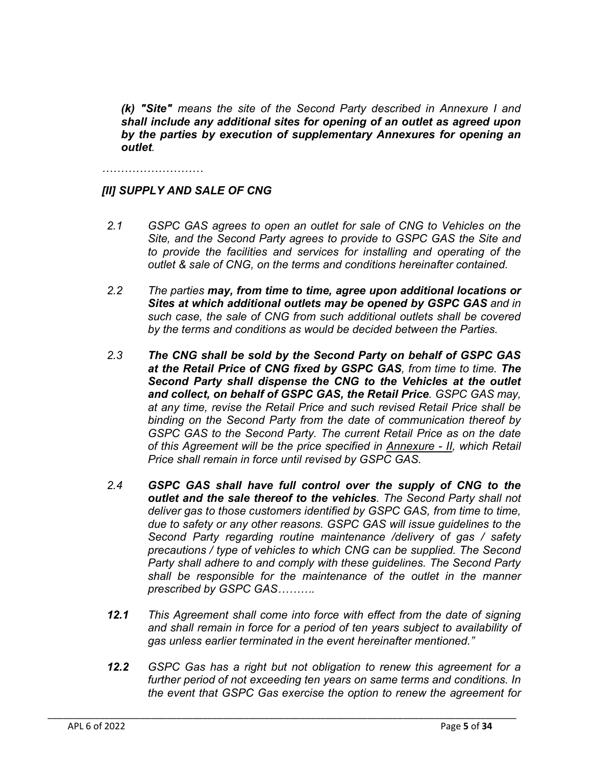*(k) "Site" means the site of the Second Party described in Annexure I and shall include any additional sites for opening of an outlet as agreed upon by the parties by execution of supplementary Annexures for opening an outlet.*

*………………………*

### *[II] SUPPLY AND SALE OF CNG*

- *2.1 GSPC GAS agrees to open an outlet for sale of CNG to Vehicles on the Site, and the Second Party agrees to provide to GSPC GAS the Site and to provide the facilities and services for installing and operating of the outlet & sale of CNG, on the terms and conditions hereinafter contained.*
- *2.2 The parties may, from time to time, agree upon additional locations or Sites at which additional outlets may be opened by GSPC GAS and in such case, the sale of CNG from such additional outlets shall be covered by the terms and conditions as would be decided between the Parties.*
- *2.3 The CNG shall be sold by the Second Party on behalf of GSPC GAS at the Retail Price of CNG fixed by GSPC GAS, from time to time. The Second Party shall dispense the CNG to the Vehicles at the outlet and collect, on behalf of GSPC GAS, the Retail Price. GSPC GAS may, at any time, revise the Retail Price and such revised Retail Price shall be binding on the Second Party from the date of communication thereof by GSPC GAS to the Second Party. The current Retail Price as on the date of this Agreement will be the price specified in Annexure - II, which Retail Price shall remain in force until revised by GSPC GAS.*
- *2.4 GSPC GAS shall have full control over the supply of CNG to the outlet and the sale thereof to the vehicles. The Second Party shall not deliver gas to those customers identified by GSPC GAS, from time to time, due to safety or any other reasons. GSPC GAS will issue guidelines to the Second Party regarding routine maintenance /delivery of gas / safety precautions / type of vehicles to which CNG can be supplied. The Second Party shall adhere to and comply with these guidelines. The Second Party shall be responsible for the maintenance of the outlet in the manner prescribed by GSPC GAS……….*
- *12.1 This Agreement shall come into force with effect from the date of signing and shall remain in force for a period of ten years subject to availability of gas unless earlier terminated in the event hereinafter mentioned."*
- *12.2 GSPC Gas has a right but not obligation to renew this agreement for a further period of not exceeding ten years on same terms and conditions. In the event that GSPC Gas exercise the option to renew the agreement for*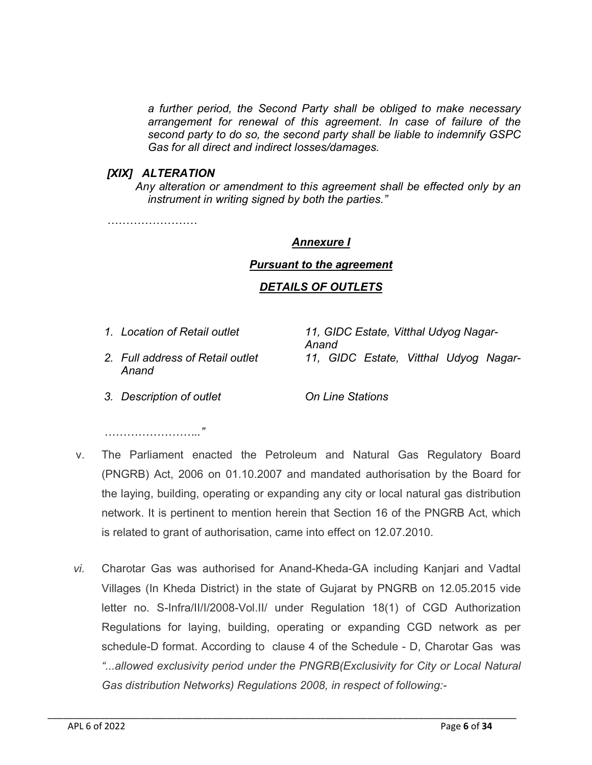*a further period, the Second Party shall be obliged to make necessary arrangement for renewal of this agreement. In case of failure of the second party to do so, the second party shall be liable to indemnify GSPC Gas for all direct and indirect losses/damages.*

#### *[XIX] ALTERATION*

*Any alteration or amendment to this agreement shall be effected only by an instrument in writing signed by both the parties."*

*……………………*

#### *Annexure I*

#### *Pursuant to the agreement*

### *DETAILS OF OUTLETS*

*1. Location of Retail outlet 11, GIDC Estate, Vitthal Udyog Nagar-Anand 2. Full address of Retail outlet 11, GIDC Estate, Vitthal Udyog Nagar-*

*Anand*

*3. Description of outlet On Line Stations*

*…………………….."*

- v. The Parliament enacted the Petroleum and Natural Gas Regulatory Board (PNGRB) Act, 2006 on 01.10.2007 and mandated authorisation by the Board for the laying, building, operating or expanding any city or local natural gas distribution network. It is pertinent to mention herein that Section 16 of the PNGRB Act, which is related to grant of authorisation, came into effect on 12.07.2010.
- *vi.* Charotar Gas was authorised for Anand-Kheda-GA including Kanjari and Vadtal Villages (In Kheda District) in the state of Gujarat by PNGRB on 12.05.2015 vide letter no. S-Infra/II/I/2008-Vol.II/ under Regulation 18(1) of CGD Authorization Regulations for laying, building, operating or expanding CGD network as per schedule-D format. According to clause 4 of the Schedule - D, Charotar Gas was *"...allowed exclusivity period under the PNGRB(Exclusivity for City or Local Natural Gas distribution Networks) Regulations 2008, in respect of following:-*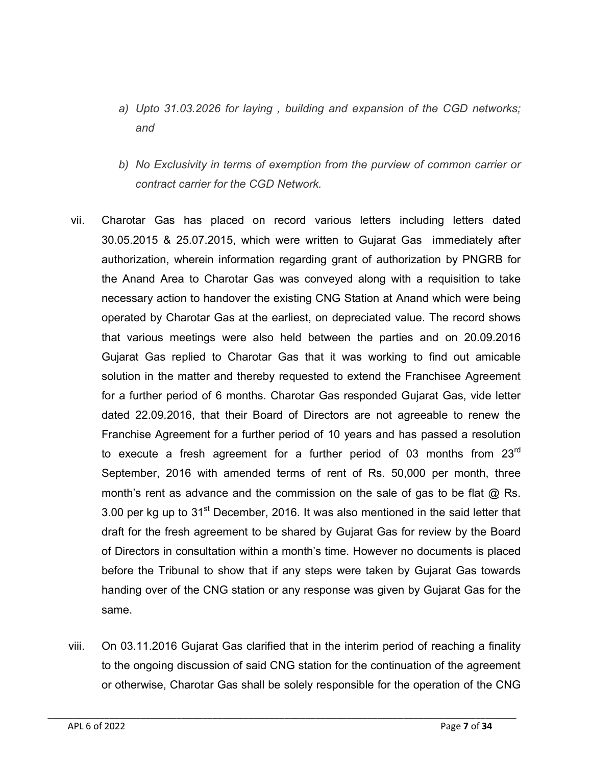- *a) Upto 31.03.2026 for laying , building and expansion of the CGD networks; and*
- *b) No Exclusivity in terms of exemption from the purview of common carrier or contract carrier for the CGD Network.*
- vii. Charotar Gas has placed on record various letters including letters dated 30.05.2015 & 25.07.2015, which were written to Gujarat Gas immediately after authorization, wherein information regarding grant of authorization by PNGRB for the Anand Area to Charotar Gas was conveyed along with a requisition to take necessary action to handover the existing CNG Station at Anand which were being operated by Charotar Gas at the earliest, on depreciated value. The record shows that various meetings were also held between the parties and on 20.09.2016 Gujarat Gas replied to Charotar Gas that it was working to find out amicable solution in the matter and thereby requested to extend the Franchisee Agreement for a further period of 6 months. Charotar Gas responded Gujarat Gas, vide letter dated 22.09.2016, that their Board of Directors are not agreeable to renew the Franchise Agreement for a further period of 10 years and has passed a resolution to execute a fresh agreement for a further period of 03 months from 23<sup>rd</sup> September, 2016 with amended terms of rent of Rs. 50,000 per month, three month's rent as advance and the commission on the sale of gas to be flat @ Rs. 3.00 per kg up to  $31<sup>st</sup>$  December, 2016. It was also mentioned in the said letter that draft for the fresh agreement to be shared by Gujarat Gas for review by the Board of Directors in consultation within a month's time. However no documents is placed before the Tribunal to show that if any steps were taken by Gujarat Gas towards handing over of the CNG station or any response was given by Gujarat Gas for the same.
- viii. On 03.11.2016 Gujarat Gas clarified that in the interim period of reaching a finality to the ongoing discussion of said CNG station for the continuation of the agreement or otherwise, Charotar Gas shall be solely responsible for the operation of the CNG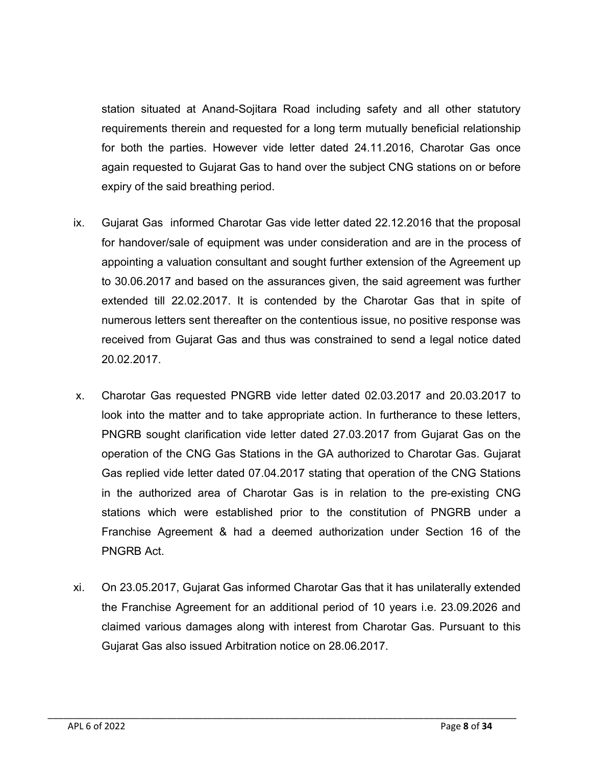station situated at Anand-Sojitara Road including safety and all other statutory requirements therein and requested for a long term mutually beneficial relationship for both the parties. However vide letter dated 24.11.2016, Charotar Gas once again requested to Gujarat Gas to hand over the subject CNG stations on or before expiry of the said breathing period.

- ix. Gujarat Gas informed Charotar Gas vide letter dated 22.12.2016 that the proposal for handover/sale of equipment was under consideration and are in the process of appointing a valuation consultant and sought further extension of the Agreement up to 30.06.2017 and based on the assurances given, the said agreement was further extended till 22.02.2017. It is contended by the Charotar Gas that in spite of numerous letters sent thereafter on the contentious issue, no positive response was received from Gujarat Gas and thus was constrained to send a legal notice dated 20.02.2017.
- x. Charotar Gas requested PNGRB vide letter dated 02.03.2017 and 20.03.2017 to look into the matter and to take appropriate action. In furtherance to these letters, PNGRB sought clarification vide letter dated 27.03.2017 from Gujarat Gas on the operation of the CNG Gas Stations in the GA authorized to Charotar Gas. Gujarat Gas replied vide letter dated 07.04.2017 stating that operation of the CNG Stations in the authorized area of Charotar Gas is in relation to the pre-existing CNG stations which were established prior to the constitution of PNGRB under a Franchise Agreement & had a deemed authorization under Section 16 of the PNGRB Act.
- xi. On 23.05.2017, Gujarat Gas informed Charotar Gas that it has unilaterally extended the Franchise Agreement for an additional period of 10 years i.e. 23.09.2026 and claimed various damages along with interest from Charotar Gas. Pursuant to this Gujarat Gas also issued Arbitration notice on 28.06.2017.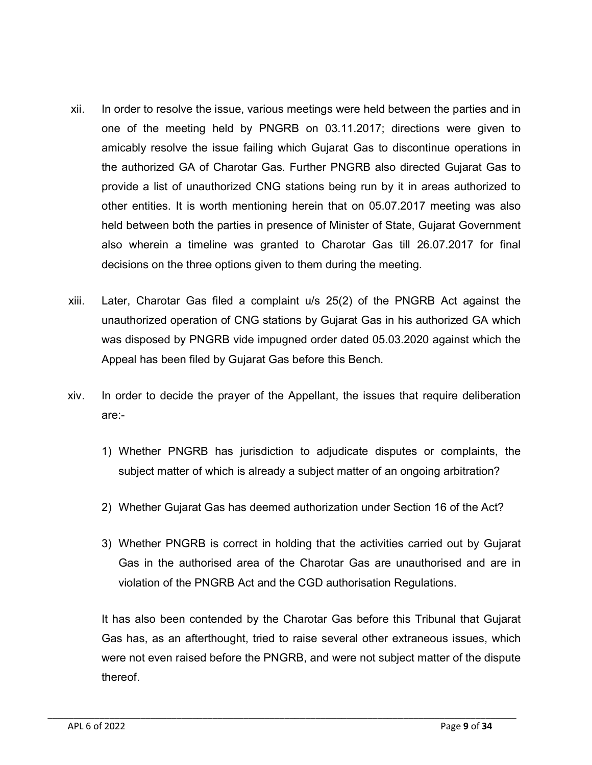- xii. In order to resolve the issue, various meetings were held between the parties and in one of the meeting held by PNGRB on 03.11.2017; directions were given to amicably resolve the issue failing which Gujarat Gas to discontinue operations in the authorized GA of Charotar Gas. Further PNGRB also directed Gujarat Gas to provide a list of unauthorized CNG stations being run by it in areas authorized to other entities. It is worth mentioning herein that on 05.07.2017 meeting was also held between both the parties in presence of Minister of State, Gujarat Government also wherein a timeline was granted to Charotar Gas till 26.07.2017 for final decisions on the three options given to them during the meeting.
- xiii. Later, Charotar Gas filed a complaint u/s 25(2) of the PNGRB Act against the unauthorized operation of CNG stations by Gujarat Gas in his authorized GA which was disposed by PNGRB vide impugned order dated 05.03.2020 against which the Appeal has been filed by Gujarat Gas before this Bench.
- xiv. In order to decide the prayer of the Appellant, the issues that require deliberation are:-
	- 1) Whether PNGRB has jurisdiction to adjudicate disputes or complaints, the subject matter of which is already a subject matter of an ongoing arbitration?
	- 2) Whether Gujarat Gas has deemed authorization under Section 16 of the Act?
	- 3) Whether PNGRB is correct in holding that the activities carried out by Gujarat Gas in the authorised area of the Charotar Gas are unauthorised and are in violation of the PNGRB Act and the CGD authorisation Regulations.

It has also been contended by the Charotar Gas before this Tribunal that Gujarat Gas has, as an afterthought, tried to raise several other extraneous issues, which were not even raised before the PNGRB, and were not subject matter of the dispute thereof.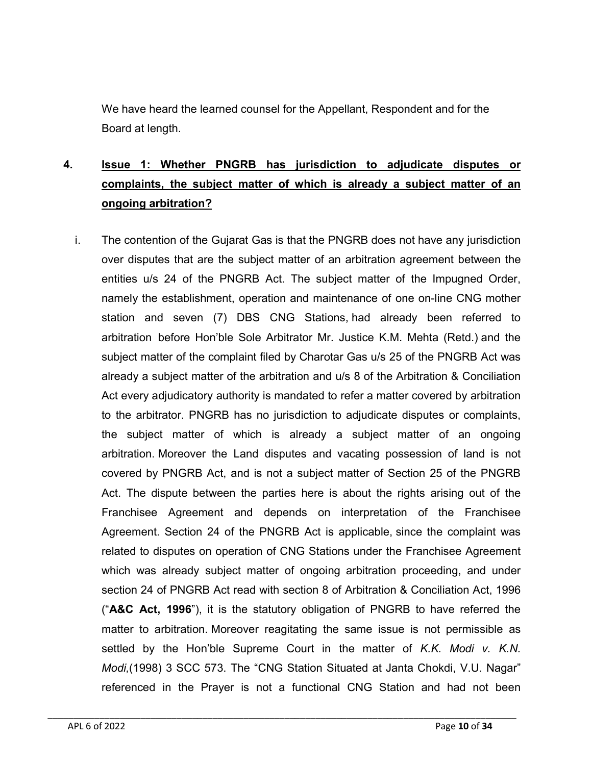We have heard the learned counsel for the Appellant, Respondent and for the Board at length.

# 4. Issue 1: Whether PNGRB has jurisdiction to adjudicate disputes or complaints, the subject matter of which is already a subject matter of an ongoing arbitration?

i. The contention of the Gujarat Gas is that the PNGRB does not have any jurisdiction over disputes that are the subject matter of an arbitration agreement between the entities u/s 24 of the PNGRB Act. The subject matter of the Impugned Order, namely the establishment, operation and maintenance of one on-line CNG mother station and seven (7) DBS CNG Stations, had already been referred to arbitration before Hon'ble Sole Arbitrator Mr. Justice K.M. Mehta (Retd.) and the subject matter of the complaint filed by Charotar Gas u/s 25 of the PNGRB Act was already a subject matter of the arbitration and u/s 8 of the Arbitration & Conciliation Act every adjudicatory authority is mandated to refer a matter covered by arbitration to the arbitrator. PNGRB has no jurisdiction to adjudicate disputes or complaints, the subject matter of which is already a subject matter of an ongoing arbitration. Moreover the Land disputes and vacating possession of land is not covered by PNGRB Act, and is not a subject matter of Section 25 of the PNGRB Act. The dispute between the parties here is about the rights arising out of the Franchisee Agreement and depends on interpretation of the Franchisee Agreement. Section 24 of the PNGRB Act is applicable, since the complaint was related to disputes on operation of CNG Stations under the Franchisee Agreement which was already subject matter of ongoing arbitration proceeding, and under section 24 of PNGRB Act read with section 8 of Arbitration & Conciliation Act, 1996 ("A&C Act, 1996"), it is the statutory obligation of PNGRB to have referred the matter to arbitration. Moreover reagitating the same issue is not permissible as settled by the Hon'ble Supreme Court in the matter of *K.K. Modi v. K.N. Modi,*(1998) 3 SCC 573. The "CNG Station Situated at Janta Chokdi, V.U. Nagar" referenced in the Prayer is not a functional CNG Station and had not been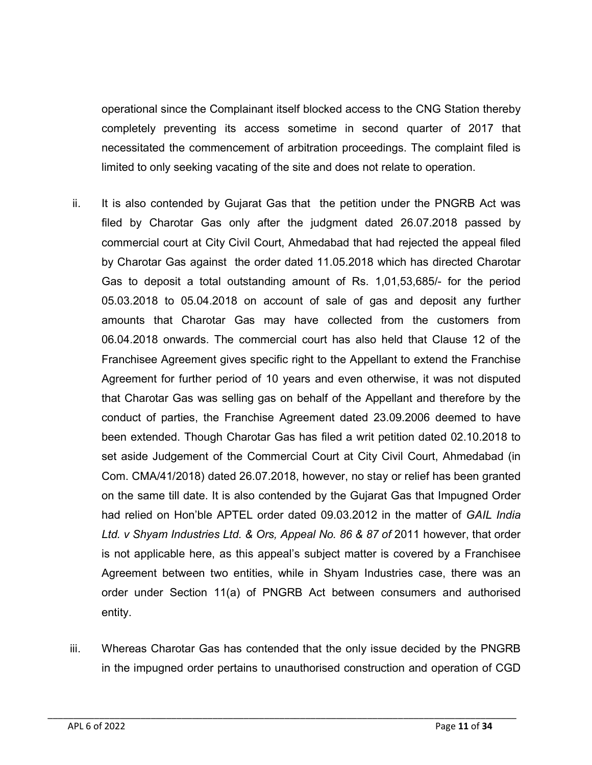operational since the Complainant itself blocked access to the CNG Station thereby completely preventing its access sometime in second quarter of 2017 that necessitated the commencement of arbitration proceedings. The complaint filed is limited to only seeking vacating of the site and does not relate to operation.

- ii. It is also contended by Gujarat Gas that the petition under the PNGRB Act was filed by Charotar Gas only after the judgment dated 26.07.2018 passed by commercial court at City Civil Court, Ahmedabad that had rejected the appeal filed by Charotar Gas against the order dated 11.05.2018 which has directed Charotar Gas to deposit a total outstanding amount of Rs. 1,01,53,685/- for the period 05.03.2018 to 05.04.2018 on account of sale of gas and deposit any further amounts that Charotar Gas may have collected from the customers from 06.04.2018 onwards. The commercial court has also held that Clause 12 of the Franchisee Agreement gives specific right to the Appellant to extend the Franchise Agreement for further period of 10 years and even otherwise, it was not disputed that Charotar Gas was selling gas on behalf of the Appellant and therefore by the conduct of parties, the Franchise Agreement dated 23.09.2006 deemed to have been extended. Though Charotar Gas has filed a writ petition dated 02.10.2018 to set aside Judgement of the Commercial Court at City Civil Court, Ahmedabad (in Com. CMA/41/2018) dated 26.07.2018, however, no stay or relief has been granted on the same till date. It is also contended by the Gujarat Gas that Impugned Order had relied on Hon'ble APTEL order dated 09.03.2012 in the matter of *GAIL India Ltd. v Shyam Industries Ltd. & Ors, Appeal No. 86 & 87 of* 2011 however, that order is not applicable here, as this appeal's subject matter is covered by a Franchisee Agreement between two entities, while in Shyam Industries case, there was an order under Section 11(a) of PNGRB Act between consumers and authorised entity.
- iii. Whereas Charotar Gas has contended that the only issue decided by the PNGRB in the impugned order pertains to unauthorised construction and operation of CGD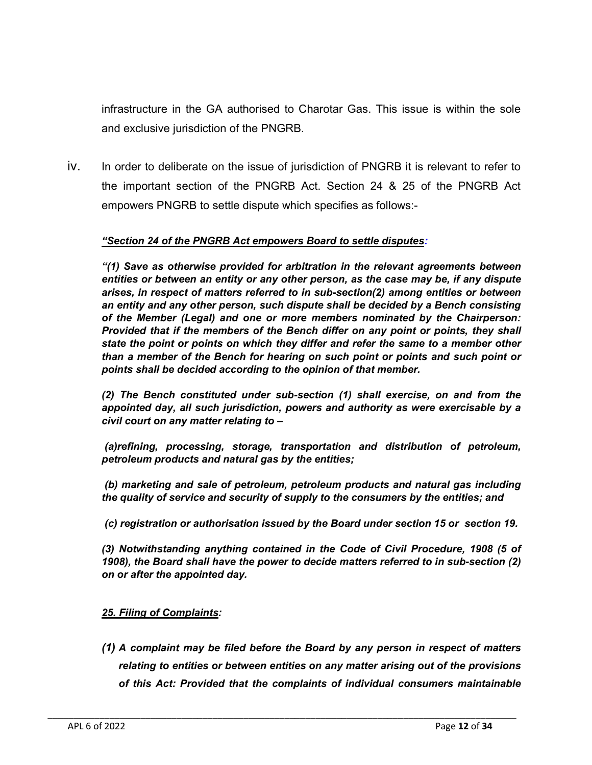infrastructure in the GA authorised to Charotar Gas. This issue is within the sole and exclusive jurisdiction of the PNGRB.

iv. In order to deliberate on the issue of jurisdiction of PNGRB it is relevant to refer to the important section of the PNGRB Act. Section 24 & 25 of the PNGRB Act empowers PNGRB to settle dispute which specifies as follows:-

#### *"Section 24 of the PNGRB Act empowers Board to settle disputes:*

*"(1) Save as otherwise provided for arbitration in the relevant agreements between entities or between an entity or any other person, as the case may be, if any dispute arises, in respect of matters referred to in sub-section(2) among entities or between an entity and any other person, such dispute shall be decided by a Bench consisting of the Member (Legal) and one or more members nominated by the Chairperson: Provided that if the members of the Bench differ on any point or points, they shall state the point or points on which they differ and refer the same to a member other than a member of the Bench for hearing on such point or points and such point or points shall be decided according to the opinion of that member.* 

*(2) The Bench constituted under sub-section (1) shall exercise, on and from the appointed day, all such jurisdiction, powers and authority as were exercisable by a civil court on any matter relating to –*

*(a)refining, processing, storage, transportation and distribution of petroleum, petroleum products and natural gas by the entities;* 

*(b) marketing and sale of petroleum, petroleum products and natural gas including the quality of service and security of supply to the consumers by the entities; and*

*(c) registration or authorisation issued by the Board under section 15 or section 19.*

*(3) Notwithstanding anything contained in the Code of Civil Procedure, 1908 (5 of 1908), the Board shall have the power to decide matters referred to in sub-section (2) on or after the appointed day.*

## *25. Filing of Complaints:*

*(1) A complaint may be filed before the Board by any person in respect of matters relating to entities or between entities on any matter arising out of the provisions of this Act: Provided that the complaints of individual consumers maintainable*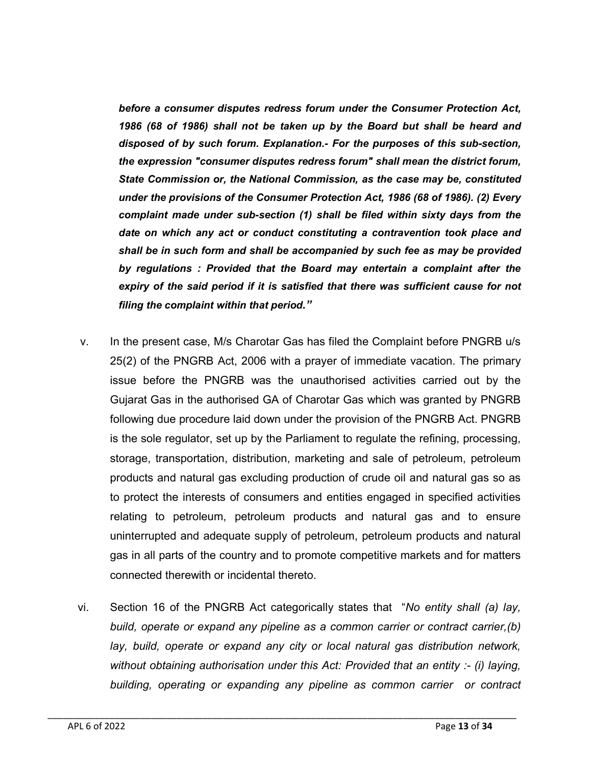*before a consumer disputes redress forum under the Consumer Protection Act, 1986 (68 of 1986) shall not be taken up by the Board but shall be heard and disposed of by such forum. Explanation.- For the purposes of this sub-section, the expression "consumer disputes redress forum" shall mean the district forum, State Commission or, the National Commission, as the case may be, constituted under the provisions of the Consumer Protection Act, 1986 (68 of 1986). (2) Every complaint made under sub-section (1) shall be filed within sixty days from the date on which any act or conduct constituting a contravention took place and shall be in such form and shall be accompanied by such fee as may be provided by regulations : Provided that the Board may entertain a complaint after the expiry of the said period if it is satisfied that there was sufficient cause for not filing the complaint within that period."*

- v. In the present case, M/s Charotar Gas has filed the Complaint before PNGRB u/s 25(2) of the PNGRB Act, 2006 with a prayer of immediate vacation. The primary issue before the PNGRB was the unauthorised activities carried out by the Gujarat Gas in the authorised GA of Charotar Gas which was granted by PNGRB following due procedure laid down under the provision of the PNGRB Act. PNGRB is the sole regulator, set up by the Parliament to regulate the refining, processing, storage, transportation, distribution, marketing and sale of petroleum, petroleum products and natural gas excluding production of crude oil and natural gas so as to protect the interests of consumers and entities engaged in specified activities relating to petroleum, petroleum products and natural gas and to ensure uninterrupted and adequate supply of petroleum, petroleum products and natural gas in all parts of the country and to promote competitive markets and for matters connected therewith or incidental thereto.
- vi. Section 16 of the PNGRB Act categorically states that "*No entity shall (a) lay, build, operate or expand any pipeline as a common carrier or contract carrier,(b) lay, build, operate or expand any city or local natural gas distribution network, without obtaining authorisation under this Act: Provided that an entity :- (i) laying, building, operating or expanding any pipeline as common carrier or contract*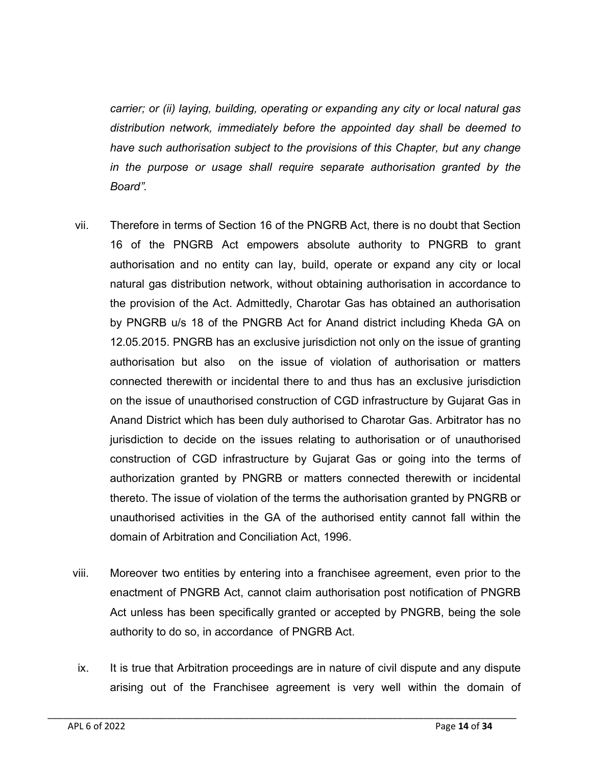*carrier; or (ii) laying, building, operating or expanding any city or local natural gas distribution network, immediately before the appointed day shall be deemed to have such authorisation subject to the provisions of this Chapter, but any change in the purpose or usage shall require separate authorisation granted by the Board".*

- vii. Therefore in terms of Section 16 of the PNGRB Act, there is no doubt that Section 16 of the PNGRB Act empowers absolute authority to PNGRB to grant authorisation and no entity can lay, build, operate or expand any city or local natural gas distribution network, without obtaining authorisation in accordance to the provision of the Act. Admittedly, Charotar Gas has obtained an authorisation by PNGRB u/s 18 of the PNGRB Act for Anand district including Kheda GA on 12.05.2015. PNGRB has an exclusive jurisdiction not only on the issue of granting authorisation but also on the issue of violation of authorisation or matters connected therewith or incidental there to and thus has an exclusive jurisdiction on the issue of unauthorised construction of CGD infrastructure by Gujarat Gas in Anand District which has been duly authorised to Charotar Gas. Arbitrator has no jurisdiction to decide on the issues relating to authorisation or of unauthorised construction of CGD infrastructure by Gujarat Gas or going into the terms of authorization granted by PNGRB or matters connected therewith or incidental thereto. The issue of violation of the terms the authorisation granted by PNGRB or unauthorised activities in the GA of the authorised entity cannot fall within the domain of Arbitration and Conciliation Act, 1996.
- viii. Moreover two entities by entering into a franchisee agreement, even prior to the enactment of PNGRB Act, cannot claim authorisation post notification of PNGRB Act unless has been specifically granted or accepted by PNGRB, being the sole authority to do so, in accordance of PNGRB Act.
- ix. It is true that Arbitration proceedings are in nature of civil dispute and any dispute arising out of the Franchisee agreement is very well within the domain of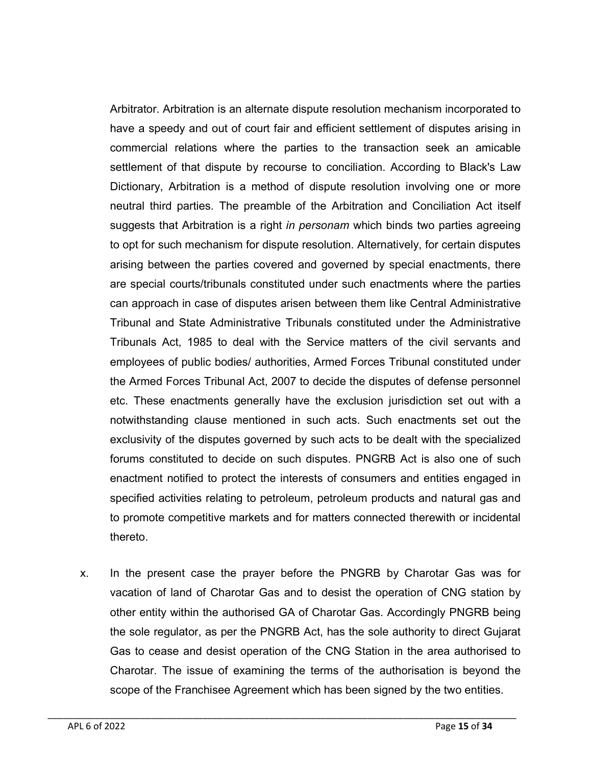Arbitrator. Arbitration is an alternate dispute resolution mechanism incorporated to have a speedy and out of court fair and efficient settlement of disputes arising in commercial relations where the parties to the transaction seek an amicable settlement of that dispute by recourse to conciliation. According to Black's Law Dictionary, Arbitration is a method of dispute resolution involving one or more neutral third parties. The preamble of the Arbitration and Conciliation Act itself suggests that Arbitration is a right *in personam* which binds two parties agreeing to opt for such mechanism for dispute resolution. Alternatively, for certain disputes arising between the parties covered and governed by special enactments, there are special courts/tribunals constituted under such enactments where the parties can approach in case of disputes arisen between them like Central Administrative Tribunal and State Administrative Tribunals constituted under the Administrative Tribunals Act, 1985 to deal with the Service matters of the civil servants and employees of public bodies/ authorities, Armed Forces Tribunal constituted under the Armed Forces Tribunal Act, 2007 to decide the disputes of defense personnel etc. These enactments generally have the exclusion jurisdiction set out with a notwithstanding clause mentioned in such acts. Such enactments set out the exclusivity of the disputes governed by such acts to be dealt with the specialized forums constituted to decide on such disputes. PNGRB Act is also one of such enactment notified to protect the interests of consumers and entities engaged in specified activities relating to petroleum, petroleum products and natural gas and to promote competitive markets and for matters connected therewith or incidental thereto.

x. In the present case the prayer before the PNGRB by Charotar Gas was for vacation of land of Charotar Gas and to desist the operation of CNG station by other entity within the authorised GA of Charotar Gas. Accordingly PNGRB being the sole regulator, as per the PNGRB Act, has the sole authority to direct Gujarat Gas to cease and desist operation of the CNG Station in the area authorised to Charotar. The issue of examining the terms of the authorisation is beyond the scope of the Franchisee Agreement which has been signed by the two entities.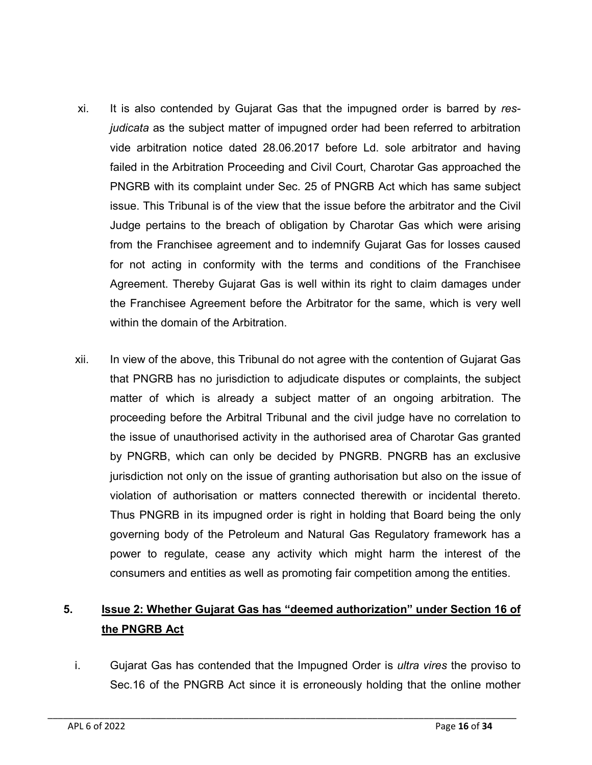- xi. It is also contended by Gujarat Gas that the impugned order is barred by *resjudicata* as the subject matter of impugned order had been referred to arbitration vide arbitration notice dated 28.06.2017 before Ld. sole arbitrator and having failed in the Arbitration Proceeding and Civil Court, Charotar Gas approached the PNGRB with its complaint under Sec. 25 of PNGRB Act which has same subject issue. This Tribunal is of the view that the issue before the arbitrator and the Civil Judge pertains to the breach of obligation by Charotar Gas which were arising from the Franchisee agreement and to indemnify Gujarat Gas for losses caused for not acting in conformity with the terms and conditions of the Franchisee Agreement. Thereby Gujarat Gas is well within its right to claim damages under the Franchisee Agreement before the Arbitrator for the same, which is very well within the domain of the Arbitration.
- xii. In view of the above, this Tribunal do not agree with the contention of Gujarat Gas that PNGRB has no jurisdiction to adjudicate disputes or complaints, the subject matter of which is already a subject matter of an ongoing arbitration. The proceeding before the Arbitral Tribunal and the civil judge have no correlation to the issue of unauthorised activity in the authorised area of Charotar Gas granted by PNGRB, which can only be decided by PNGRB. PNGRB has an exclusive jurisdiction not only on the issue of granting authorisation but also on the issue of violation of authorisation or matters connected therewith or incidental thereto. Thus PNGRB in its impugned order is right in holding that Board being the only governing body of the Petroleum and Natural Gas Regulatory framework has a power to regulate, cease any activity which might harm the interest of the consumers and entities as well as promoting fair competition among the entities.

## 5. Issue 2: Whether Gujarat Gas has "deemed authorization" under Section 16 of the PNGRB Act

i. Gujarat Gas has contended that the Impugned Order is *ultra vires* the proviso to Sec.16 of the PNGRB Act since it is erroneously holding that the online mother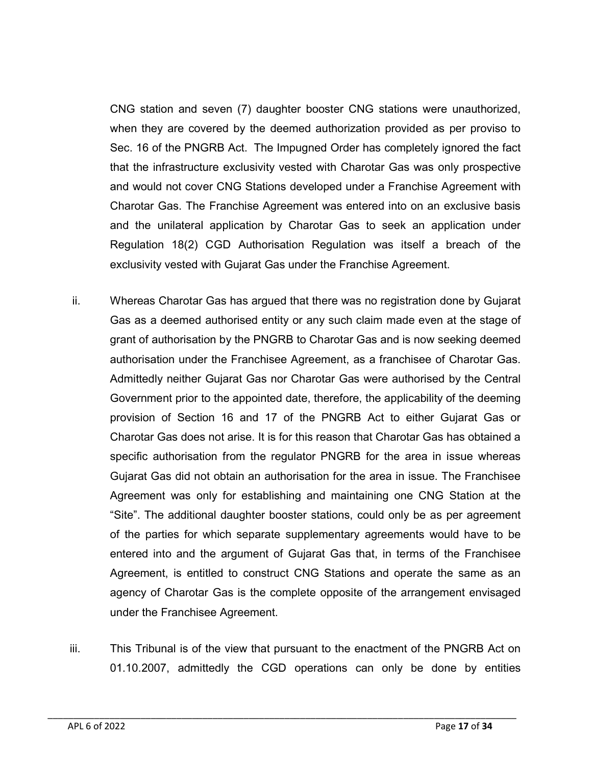CNG station and seven (7) daughter booster CNG stations were unauthorized, when they are covered by the deemed authorization provided as per proviso to Sec. 16 of the PNGRB Act. The Impugned Order has completely ignored the fact that the infrastructure exclusivity vested with Charotar Gas was only prospective and would not cover CNG Stations developed under a Franchise Agreement with Charotar Gas. The Franchise Agreement was entered into on an exclusive basis and the unilateral application by Charotar Gas to seek an application under Regulation 18(2) CGD Authorisation Regulation was itself a breach of the exclusivity vested with Gujarat Gas under the Franchise Agreement.

- ii. Whereas Charotar Gas has argued that there was no registration done by Gujarat Gas as a deemed authorised entity or any such claim made even at the stage of grant of authorisation by the PNGRB to Charotar Gas and is now seeking deemed authorisation under the Franchisee Agreement, as a franchisee of Charotar Gas. Admittedly neither Gujarat Gas nor Charotar Gas were authorised by the Central Government prior to the appointed date, therefore, the applicability of the deeming provision of Section 16 and 17 of the PNGRB Act to either Gujarat Gas or Charotar Gas does not arise. It is for this reason that Charotar Gas has obtained a specific authorisation from the regulator PNGRB for the area in issue whereas Gujarat Gas did not obtain an authorisation for the area in issue. The Franchisee Agreement was only for establishing and maintaining one CNG Station at the "Site". The additional daughter booster stations, could only be as per agreement of the parties for which separate supplementary agreements would have to be entered into and the argument of Gujarat Gas that, in terms of the Franchisee Agreement, is entitled to construct CNG Stations and operate the same as an agency of Charotar Gas is the complete opposite of the arrangement envisaged under the Franchisee Agreement.
- iii. This Tribunal is of the view that pursuant to the enactment of the PNGRB Act on 01.10.2007, admittedly the CGD operations can only be done by entities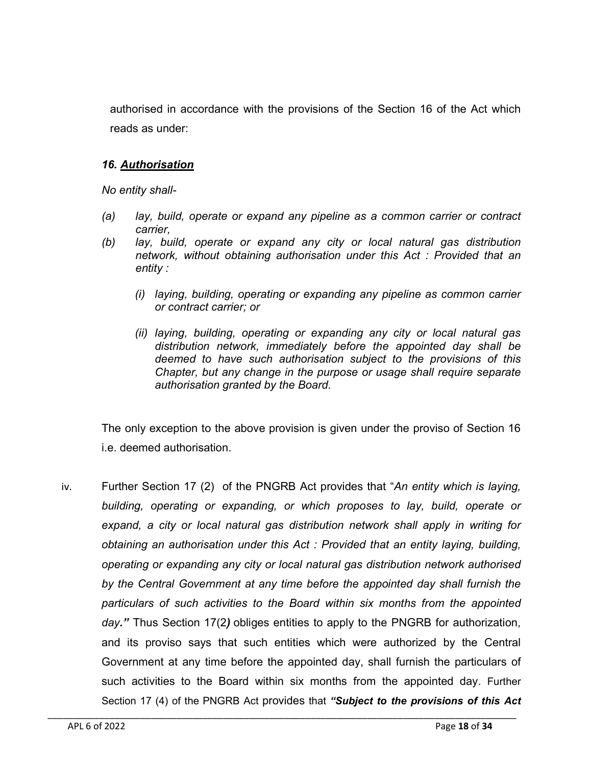authorised in accordance with the provisions of the Section 16 of the Act which reads as under:

## *16. Authorisation*

*No entity shall-*

- *(a) lay, build, operate or expand any pipeline as a common carrier or contract carrier,*
- *(b) lay, build, operate or expand any city or local natural gas distribution network, without obtaining authorisation under this Act : Provided that an entity :*
	- *(i) laying, building, operating or expanding any pipeline as common carrier or contract carrier; or*
	- *(ii) laying, building, operating or expanding any city or local natural gas distribution network, immediately before the appointed day shall be deemed to have such authorisation subject to the provisions of this Chapter, but any change in the purpose or usage shall require separate authorisation granted by the Board.*

The only exception to the above provision is given under the proviso of Section 16 i.e. deemed authorisation.

iv. Further Section 17 (2) of the PNGRB Act provides that "*An entity which is laying, building, operating or expanding, or which proposes to lay, build, operate or expand, a city or local natural gas distribution network shall apply in writing for obtaining an authorisation under this Act : Provided that an entity laying, building, operating or expanding any city or local natural gas distribution network authorised by the Central Government at any time before the appointed day shall furnish the particulars of such activities to the Board within six months from the appointed day."* Thus Section 17(2*)* obliges entities to apply to the PNGRB for authorization, and its proviso says that such entities which were authorized by the Central Government at any time before the appointed day, shall furnish the particulars of such activities to the Board within six months from the appointed day. Further Section 17 (4) of the PNGRB Act provides that *"Subject to the provisions of this Act*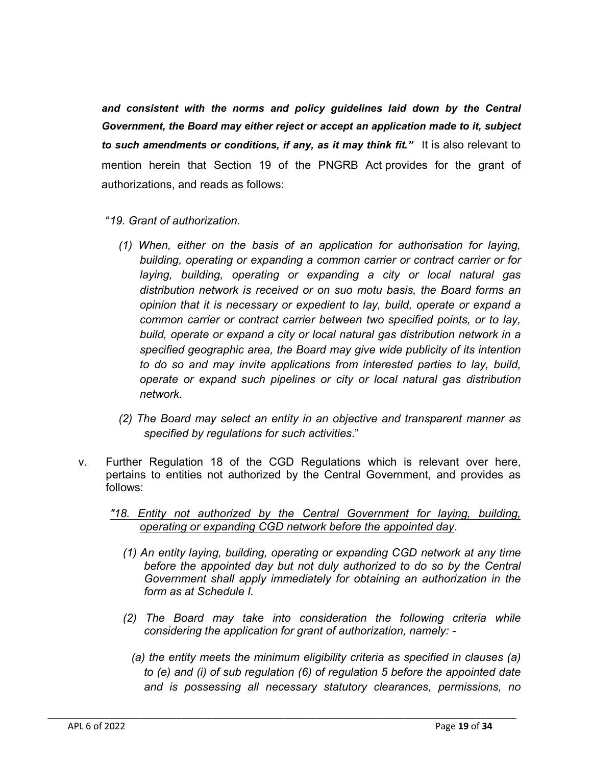and consistent with the norms and policy guidelines laid down by the Central *Government, the Board may either reject or accept an application made to it, subject to such amendments or conditions, if any, as it may think fit."* It is also relevant to mention herein that Section 19 of the PNGRB Act provides for the grant of authorizations, and reads as follows:

- "*19. Grant of authorization.*
	- *(1) When, either on the basis of an application for authorisation for laying, building, operating or expanding a common carrier or contract carrier or for laying, building, operating or expanding a city or local natural gas distribution network is received or on suo motu basis, the Board forms an opinion that it is necessary or expedient to lay, build, operate or expand a common carrier or contract carrier between two specified points, or to lay, build, operate or expand a city or local natural gas distribution network in a specified geographic area, the Board may give wide publicity of its intention to do so and may invite applications from interested parties to lay, build, operate or expand such pipelines or city or local natural gas distribution network.*
	- *(2) The Board may select an entity in an objective and transparent manner as specified by regulations for such activities*."
- v. Further Regulation 18 of the CGD Regulations which is relevant over here, pertains to entities not authorized by the Central Government, and provides as follows:
	- *"18. Entity not authorized by the Central Government for laying, building, operating or expanding CGD network before the appointed day.*
		- *(1) An entity laying, building, operating or expanding CGD network at any time*  before the appointed day but not duly authorized to do so by the Central *Government shall apply immediately for obtaining an authorization in the form as at Schedule I.*
		- *(2) The Board may take into consideration the following criteria while considering the application for grant of authorization, namely: -*
			- *(a) the entity meets the minimum eligibility criteria as specified in clauses (a) to (e) and (i) of sub regulation (6) of regulation 5 before the appointed date and is possessing all necessary statutory clearances, permissions, no*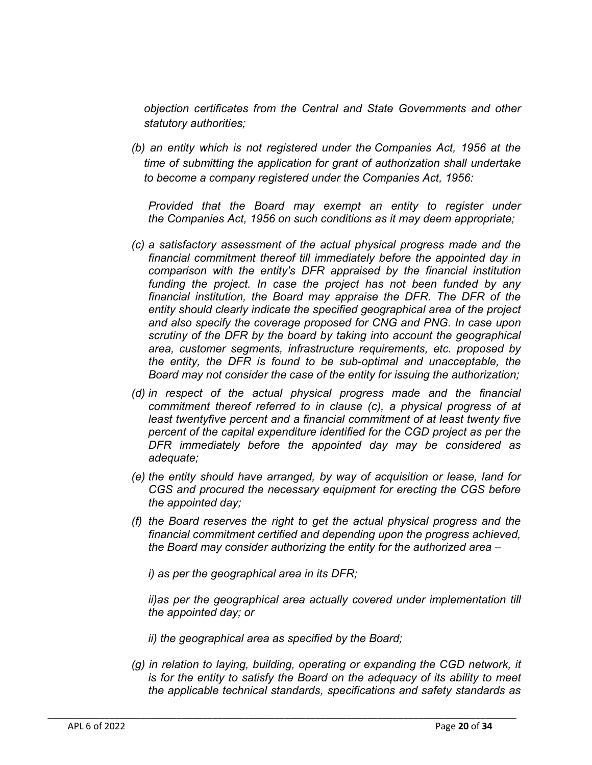*objection certificates from the Central and State Governments and other statutory authorities;*

*(b) an entity which is not registered under the Companies Act, 1956 at the time of submitting the application for grant of authorization shall undertake to become a company registered under the Companies Act, 1956:*

*Provided that the Board may exempt an entity to register under the Companies Act, 1956 on such conditions as it may deem appropriate;*

- *(c) a satisfactory assessment of the actual physical progress made and the financial commitment thereof till immediately before the appointed day in comparison with the entity's DFR appraised by the financial institution funding the project. In case the project has not been funded by any financial institution, the Board may appraise the DFR. The DFR of the entity should clearly indicate the specified geographical area of the project and also specify the coverage proposed for CNG and PNG. In case upon scrutiny of the DFR by the board by taking into account the geographical area, customer segments, infrastructure requirements, etc. proposed by the entity, the DFR is found to be sub-optimal and unacceptable, the Board may not consider the case of the entity for issuing the authorization;*
- *(d) in respect of the actual physical progress made and the financial commitment thereof referred to in clause (c), a physical progress of at least twentyfive percent and a financial commitment of at least twenty five percent of the capital expenditure identified for the CGD project as per the DFR immediately before the appointed day may be considered as adequate;*
- *(e) the entity should have arranged, by way of acquisition or lease, land for CGS and procured the necessary equipment for erecting the CGS before the appointed day;*
- *(f) the Board reserves the right to get the actual physical progress and the financial commitment certified and depending upon the progress achieved, the Board may consider authorizing the entity for the authorized area –*

*i) as per the geographical area in its DFR;*

*ii)as per the geographical area actually covered under implementation till the appointed day; or*

*ii) the geographical area as specified by the Board;*

\_\_\_\_\_\_\_\_\_\_\_\_\_\_\_\_\_\_\_\_\_\_\_\_\_\_\_\_\_\_\_\_\_\_\_\_\_\_\_\_\_\_\_\_\_\_\_\_\_\_\_\_\_\_\_\_\_\_\_\_\_\_\_\_\_\_\_\_\_\_\_\_\_\_\_\_\_\_\_\_\_\_\_\_\_\_\_\_\_\_\_

*(g) in relation to laying, building, operating or expanding the CGD network, it is for the entity to satisfy the Board on the adequacy of its ability to meet the applicable technical standards, specifications and safety standards as*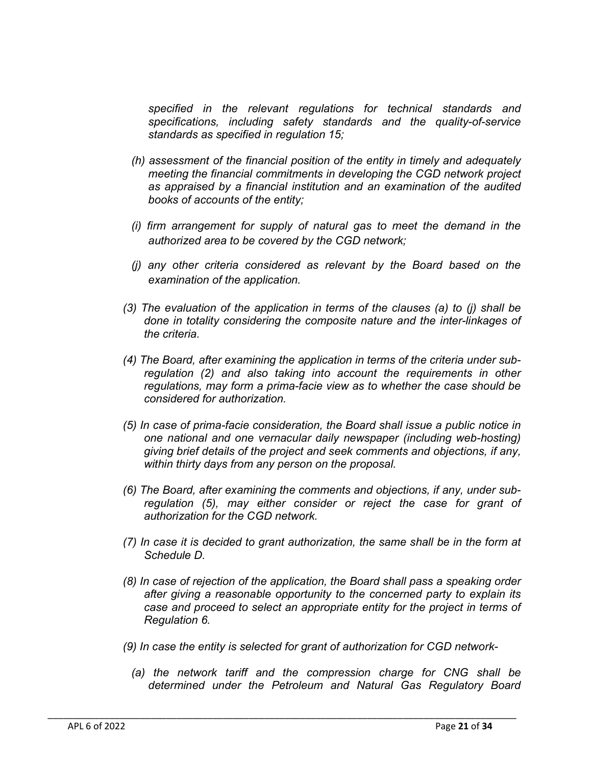*specified in the relevant regulations for technical standards and specifications, including safety standards and the quality-of-service standards as specified in regulation 15;*

- *(h) assessment of the financial position of the entity in timely and adequately meeting the financial commitments in developing the CGD network project as appraised by a financial institution and an examination of the audited books of accounts of the entity;*
- *(i) firm arrangement for supply of natural gas to meet the demand in the authorized area to be covered by the CGD network;*
- *(j) any other criteria considered as relevant by the Board based on the examination of the application.*
- *(3) The evaluation of the application in terms of the clauses (a) to (j) shall be done in totality considering the composite nature and the inter-linkages of the criteria.*
- *(4) The Board, after examining the application in terms of the criteria under subregulation (2) and also taking into account the requirements in other regulations, may form a prima-facie view as to whether the case should be considered for authorization.*
- *(5) In case of prima-facie consideration, the Board shall issue a public notice in one national and one vernacular daily newspaper (including web-hosting) giving brief details of the project and seek comments and objections, if any, within thirty days from any person on the proposal.*
- *(6) The Board, after examining the comments and objections, if any, under subregulation (5), may either consider or reject the case for grant of authorization for the CGD network.*
- *(7) In case it is decided to grant authorization, the same shall be in the form at Schedule D.*
- *(8) In case of rejection of the application, the Board shall pass a speaking order after giving a reasonable opportunity to the concerned party to explain its case and proceed to select an appropriate entity for the project in terms of Regulation 6.*
- *(9) In case the entity is selected for grant of authorization for CGD network-*

\_\_\_\_\_\_\_\_\_\_\_\_\_\_\_\_\_\_\_\_\_\_\_\_\_\_\_\_\_\_\_\_\_\_\_\_\_\_\_\_\_\_\_\_\_\_\_\_\_\_\_\_\_\_\_\_\_\_\_\_\_\_\_\_\_\_\_\_\_\_\_\_\_\_\_\_\_\_\_\_\_\_\_\_\_\_\_\_\_\_\_

*(a) the network tariff and the compression charge for CNG shall be determined under the Petroleum and Natural Gas Regulatory Board*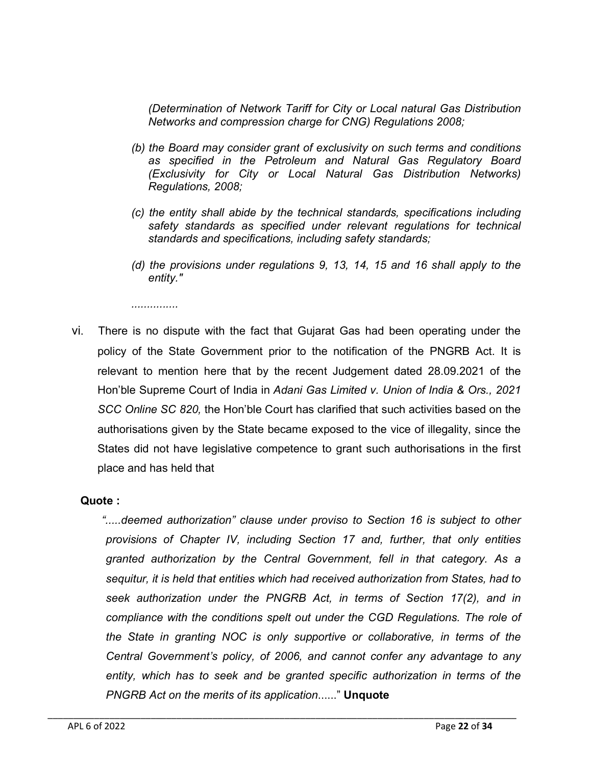*(Determination of Network Tariff for City or Local natural Gas Distribution Networks and compression charge for CNG) Regulations 2008;*

- *(b) the Board may consider grant of exclusivity on such terms and conditions as specified in the Petroleum and Natural Gas Regulatory Board (Exclusivity for City or Local Natural Gas Distribution Networks) Regulations, 2008;*
- *(c) the entity shall abide by the technical standards, specifications including safety standards as specified under relevant regulations for technical standards and specifications, including safety standards;*
- *(d) the provisions under regulations 9, 13, 14, 15 and 16 shall apply to the entity."*

*...............*

vi. There is no dispute with the fact that Gujarat Gas had been operating under the policy of the State Government prior to the notification of the PNGRB Act. It is relevant to mention here that by the recent Judgement dated 28.09.2021 of the Hon'ble Supreme Court of India in *Adani Gas Limited v. Union of India & Ors., 2021 SCC Online SC 820,* the Hon'ble Court has clarified that such activities based on the authorisations given by the State became exposed to the vice of illegality, since the States did not have legislative competence to grant such authorisations in the first place and has held that

## Quote :

*".....deemed authorization" clause under proviso to Section 16 is subject to other provisions of Chapter IV, including Section 17 and, further, that only entities granted authorization by the Central Government, fell in that category. As a sequitur, it is held that entities which had received authorization from States, had to seek authorization under the PNGRB Act, in terms of Section 17(2), and in compliance with the conditions spelt out under the CGD Regulations. The role of the State in granting NOC is only supportive or collaborative, in terms of the Central Government's policy, of 2006, and cannot confer any advantage to any entity, which has to seek and be granted specific authorization in terms of the PNGRB Act on the merits of its application*......" Unquote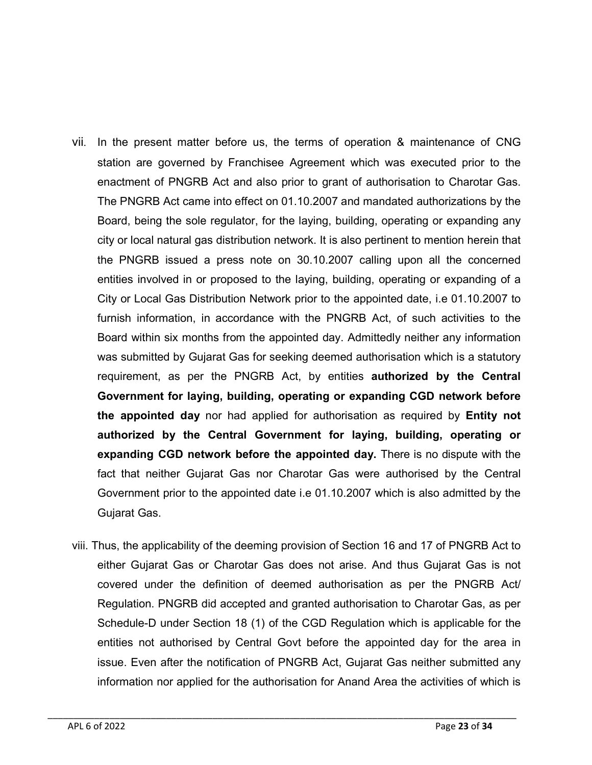- vii. In the present matter before us, the terms of operation & maintenance of CNG station are governed by Franchisee Agreement which was executed prior to the enactment of PNGRB Act and also prior to grant of authorisation to Charotar Gas. The PNGRB Act came into effect on 01.10.2007 and mandated authorizations by the Board, being the sole regulator, for the laying, building, operating or expanding any city or local natural gas distribution network. It is also pertinent to mention herein that the PNGRB issued a press note on 30.10.2007 calling upon all the concerned entities involved in or proposed to the laying, building, operating or expanding of a City or Local Gas Distribution Network prior to the appointed date, i.e 01.10.2007 to furnish information, in accordance with the PNGRB Act, of such activities to the Board within six months from the appointed day. Admittedly neither any information was submitted by Gujarat Gas for seeking deemed authorisation which is a statutory requirement, as per the PNGRB Act, by entities authorized by the Central Government for laying, building, operating or expanding CGD network before the appointed day nor had applied for authorisation as required by Entity not authorized by the Central Government for laying, building, operating or expanding CGD network before the appointed day. There is no dispute with the fact that neither Gujarat Gas nor Charotar Gas were authorised by the Central Government prior to the appointed date i.e 01.10.2007 which is also admitted by the Gujarat Gas.
- viii. Thus, the applicability of the deeming provision of Section 16 and 17 of PNGRB Act to either Gujarat Gas or Charotar Gas does not arise. And thus Gujarat Gas is not covered under the definition of deemed authorisation as per the PNGRB Act/ Regulation. PNGRB did accepted and granted authorisation to Charotar Gas, as per Schedule-D under Section 18 (1) of the CGD Regulation which is applicable for the entities not authorised by Central Govt before the appointed day for the area in issue. Even after the notification of PNGRB Act, Gujarat Gas neither submitted any information nor applied for the authorisation for Anand Area the activities of which is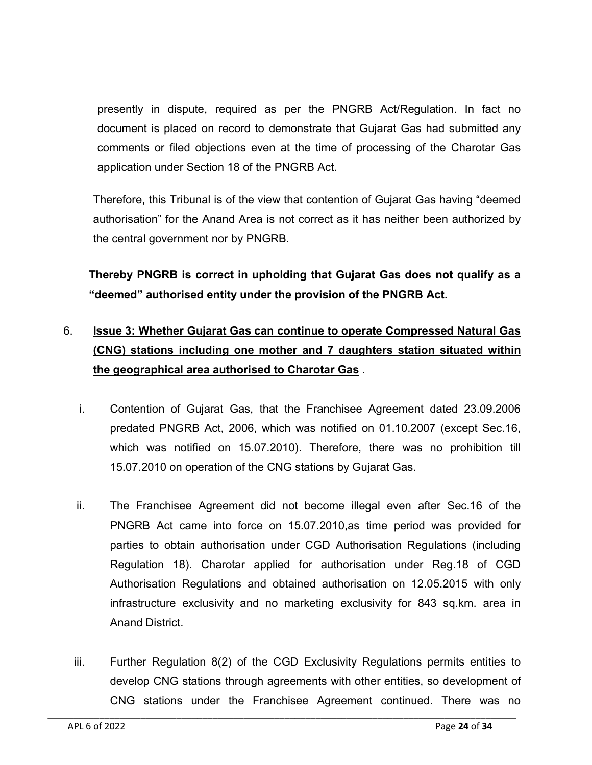presently in dispute, required as per the PNGRB Act/Regulation. In fact no document is placed on record to demonstrate that Gujarat Gas had submitted any comments or filed objections even at the time of processing of the Charotar Gas application under Section 18 of the PNGRB Act.

Therefore, this Tribunal is of the view that contention of Gujarat Gas having "deemed authorisation" for the Anand Area is not correct as it has neither been authorized by the central government nor by PNGRB.

Thereby PNGRB is correct in upholding that Gujarat Gas does not qualify as a "deemed" authorised entity under the provision of the PNGRB Act.

## 6. Issue 3: Whether Gujarat Gas can continue to operate Compressed Natural Gas (CNG) stations including one mother and 7 daughters station situated within the geographical area authorised to Charotar Gas .

- i. Contention of Gujarat Gas, that the Franchisee Agreement dated 23.09.2006 predated PNGRB Act, 2006, which was notified on 01.10.2007 (except Sec.16, which was notified on 15.07.2010). Therefore, there was no prohibition till 15.07.2010 on operation of the CNG stations by Gujarat Gas.
- ii. The Franchisee Agreement did not become illegal even after Sec.16 of the PNGRB Act came into force on 15.07.2010,as time period was provided for parties to obtain authorisation under CGD Authorisation Regulations (including Regulation 18). Charotar applied for authorisation under Reg.18 of CGD Authorisation Regulations and obtained authorisation on 12.05.2015 with only infrastructure exclusivity and no marketing exclusivity for 843 sq.km. area in Anand District.
- iii. Further Regulation 8(2) of the CGD Exclusivity Regulations permits entities to develop CNG stations through agreements with other entities, so development of CNG stations under the Franchisee Agreement continued. There was no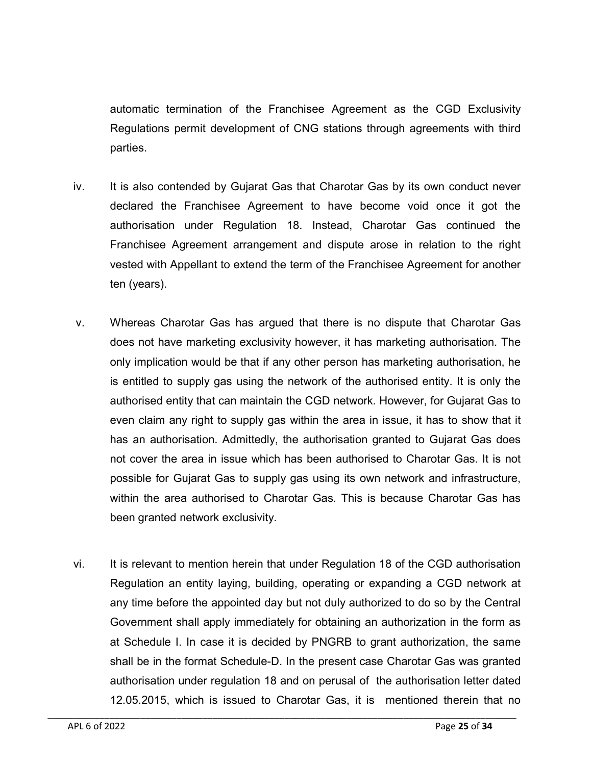automatic termination of the Franchisee Agreement as the CGD Exclusivity Regulations permit development of CNG stations through agreements with third parties.

- iv. It is also contended by Gujarat Gas that Charotar Gas by its own conduct never declared the Franchisee Agreement to have become void once it got the authorisation under Regulation 18. Instead, Charotar Gas continued the Franchisee Agreement arrangement and dispute arose in relation to the right vested with Appellant to extend the term of the Franchisee Agreement for another ten (years).
- v. Whereas Charotar Gas has argued that there is no dispute that Charotar Gas does not have marketing exclusivity however, it has marketing authorisation. The only implication would be that if any other person has marketing authorisation, he is entitled to supply gas using the network of the authorised entity. It is only the authorised entity that can maintain the CGD network. However, for Gujarat Gas to even claim any right to supply gas within the area in issue, it has to show that it has an authorisation. Admittedly, the authorisation granted to Gujarat Gas does not cover the area in issue which has been authorised to Charotar Gas. It is not possible for Gujarat Gas to supply gas using its own network and infrastructure, within the area authorised to Charotar Gas. This is because Charotar Gas has been granted network exclusivity.
- vi. It is relevant to mention herein that under Regulation 18 of the CGD authorisation Regulation an entity laying, building, operating or expanding a CGD network at any time before the appointed day but not duly authorized to do so by the Central Government shall apply immediately for obtaining an authorization in the form as at Schedule I. In case it is decided by PNGRB to grant authorization, the same shall be in the format Schedule-D. In the present case Charotar Gas was granted authorisation under regulation 18 and on perusal of the authorisation letter dated 12.05.2015, which is issued to Charotar Gas, it is mentioned therein that no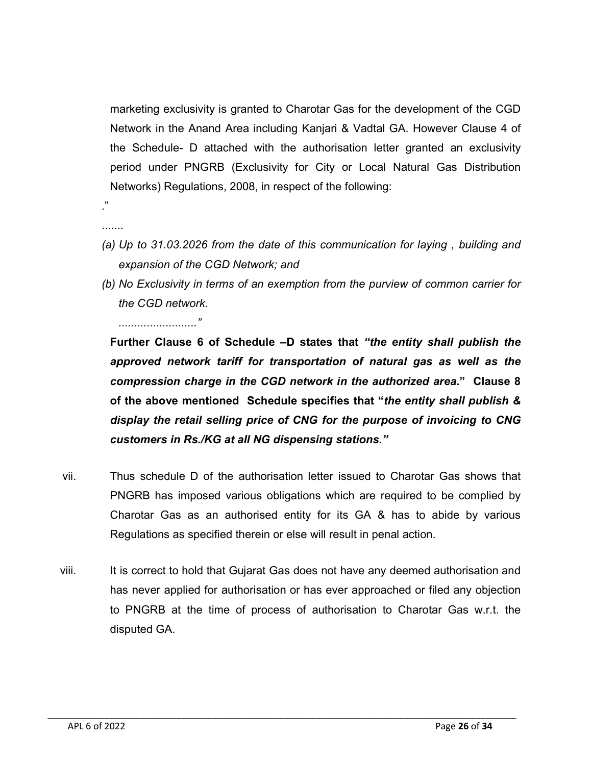marketing exclusivity is granted to Charotar Gas for the development of the CGD Network in the Anand Area including Kanjari & Vadtal GA. However Clause 4 of the Schedule- D attached with the authorisation letter granted an exclusivity period under PNGRB (Exclusivity for City or Local Natural Gas Distribution Networks) Regulations, 2008, in respect of the following:

.......

."

- *(a) Up to 31.03.2026 from the date of this communication for laying , building and expansion of the CGD Network; and*
- *(b) No Exclusivity in terms of an exemption from the purview of common carrier for the CGD network.*

*........................."*

Further Clause 6 of Schedule –D states that *"the entity shall publish the approved network tariff for transportation of natural gas as well as the compression charge in the CGD network in the authorized area*." Clause 8 of the above mentioned Schedule specifies that "*the entity shall publish & display the retail selling price of CNG for the purpose of invoicing to CNG customers in Rs./KG at all NG dispensing stations."*

- vii. Thus schedule D of the authorisation letter issued to Charotar Gas shows that PNGRB has imposed various obligations which are required to be complied by Charotar Gas as an authorised entity for its GA & has to abide by various Regulations as specified therein or else will result in penal action.
- viii. It is correct to hold that Gujarat Gas does not have any deemed authorisation and has never applied for authorisation or has ever approached or filed any objection to PNGRB at the time of process of authorisation to Charotar Gas w.r.t. the disputed GA.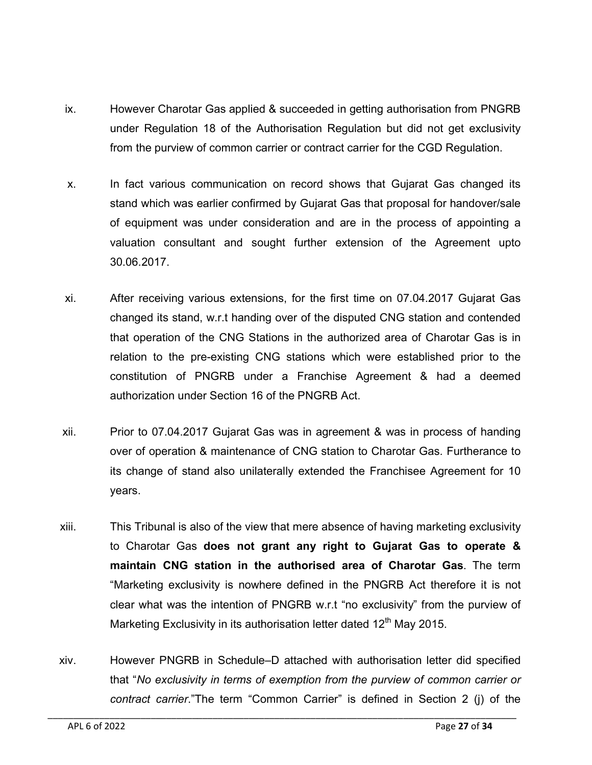- ix. However Charotar Gas applied & succeeded in getting authorisation from PNGRB under Regulation 18 of the Authorisation Regulation but did not get exclusivity from the purview of common carrier or contract carrier for the CGD Regulation.
- x. In fact various communication on record shows that Gujarat Gas changed its stand which was earlier confirmed by Gujarat Gas that proposal for handover/sale of equipment was under consideration and are in the process of appointing a valuation consultant and sought further extension of the Agreement upto 30.06.2017.
- xi. After receiving various extensions, for the first time on 07.04.2017 Gujarat Gas changed its stand, w.r.t handing over of the disputed CNG station and contended that operation of the CNG Stations in the authorized area of Charotar Gas is in relation to the pre-existing CNG stations which were established prior to the constitution of PNGRB under a Franchise Agreement & had a deemed authorization under Section 16 of the PNGRB Act.
- xii. Prior to 07.04.2017 Gujarat Gas was in agreement & was in process of handing over of operation & maintenance of CNG station to Charotar Gas. Furtherance to its change of stand also unilaterally extended the Franchisee Agreement for 10 years.
- xiii. This Tribunal is also of the view that mere absence of having marketing exclusivity to Charotar Gas does not grant any right to Gujarat Gas to operate & maintain CNG station in the authorised area of Charotar Gas. The term "Marketing exclusivity is nowhere defined in the PNGRB Act therefore it is not clear what was the intention of PNGRB w.r.t "no exclusivity" from the purview of Marketing Exclusivity in its authorisation letter dated  $12<sup>th</sup>$  May 2015.
- xiv. However PNGRB in Schedule–D attached with authorisation letter did specified that "*No exclusivity in terms of exemption from the purview of common carrier or contract carrier*."The term "Common Carrier" is defined in Section 2 (j) of the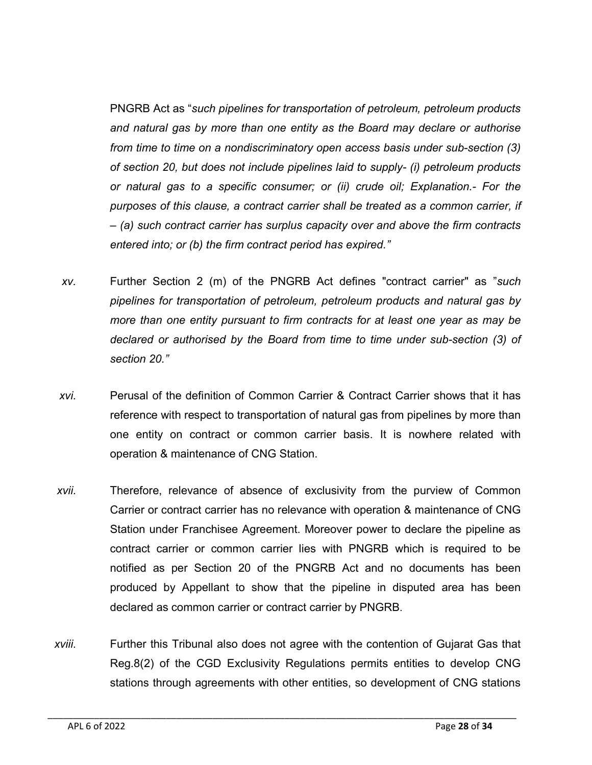PNGRB Act as "*such pipelines for transportation of petroleum, petroleum products and natural gas by more than one entity as the Board may declare or authorise from time to time on a nondiscriminatory open access basis under sub-section (3) of section 20, but does not include pipelines laid to supply- (i) petroleum products or natural gas to a specific consumer; or (ii) crude oil; Explanation.- For the purposes of this clause, a contract carrier shall be treated as a common carrier, if – (a) such contract carrier has surplus capacity over and above the firm contracts entered into; or (b) the firm contract period has expired."*

- *xv.* Further Section 2 (m) of the PNGRB Act defines "contract carrier" as "*such pipelines for transportation of petroleum, petroleum products and natural gas by more than one entity pursuant to firm contracts for at least one year as may be declared or authorised by the Board from time to time under sub-section (3) of section 20."*
- *xvi.* Perusal of the definition of Common Carrier & Contract Carrier shows that it has reference with respect to transportation of natural gas from pipelines by more than one entity on contract or common carrier basis. It is nowhere related with operation & maintenance of CNG Station.
- *xvii.* Therefore, relevance of absence of exclusivity from the purview of Common Carrier or contract carrier has no relevance with operation & maintenance of CNG Station under Franchisee Agreement. Moreover power to declare the pipeline as contract carrier or common carrier lies with PNGRB which is required to be notified as per Section 20 of the PNGRB Act and no documents has been produced by Appellant to show that the pipeline in disputed area has been declared as common carrier or contract carrier by PNGRB.
- *xviii.* Further this Tribunal also does not agree with the contention of Gujarat Gas that Reg.8(2) of the CGD Exclusivity Regulations permits entities to develop CNG stations through agreements with other entities, so development of CNG stations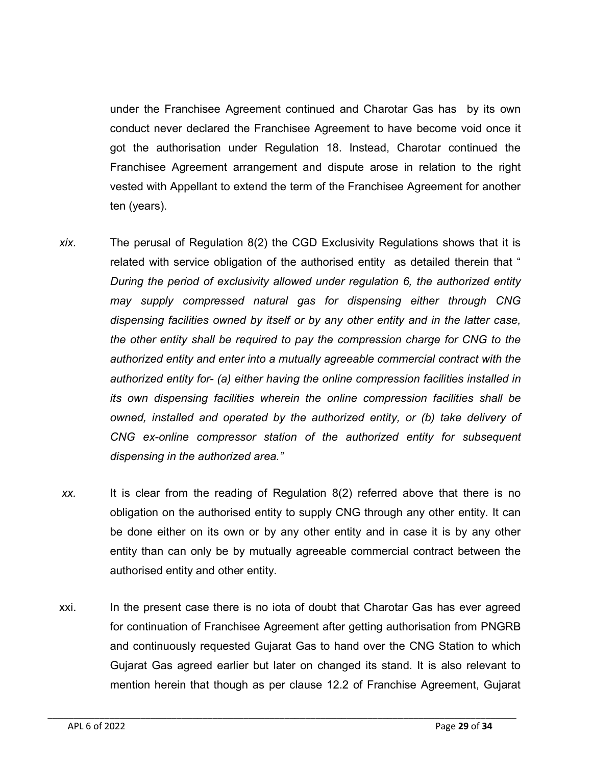under the Franchisee Agreement continued and Charotar Gas has by its own conduct never declared the Franchisee Agreement to have become void once it got the authorisation under Regulation 18. Instead, Charotar continued the Franchisee Agreement arrangement and dispute arose in relation to the right vested with Appellant to extend the term of the Franchisee Agreement for another ten (years).

- *xix.* The perusal of Regulation 8(2) the CGD Exclusivity Regulations shows that it is related with service obligation of the authorised entity as detailed therein that " *During the period of exclusivity allowed under regulation 6, the authorized entity may supply compressed natural gas for dispensing either through CNG dispensing facilities owned by itself or by any other entity and in the latter case, the other entity shall be required to pay the compression charge for CNG to the authorized entity and enter into a mutually agreeable commercial contract with the authorized entity for- (a) either having the online compression facilities installed in its own dispensing facilities wherein the online compression facilities shall be owned, installed and operated by the authorized entity, or (b) take delivery of CNG ex-online compressor station of the authorized entity for subsequent dispensing in the authorized area."*
- *xx.* It is clear from the reading of Regulation 8(2) referred above that there is no obligation on the authorised entity to supply CNG through any other entity. It can be done either on its own or by any other entity and in case it is by any other entity than can only be by mutually agreeable commercial contract between the authorised entity and other entity.
- xxi. In the present case there is no iota of doubt that Charotar Gas has ever agreed for continuation of Franchisee Agreement after getting authorisation from PNGRB and continuously requested Gujarat Gas to hand over the CNG Station to which Gujarat Gas agreed earlier but later on changed its stand. It is also relevant to mention herein that though as per clause 12.2 of Franchise Agreement, Gujarat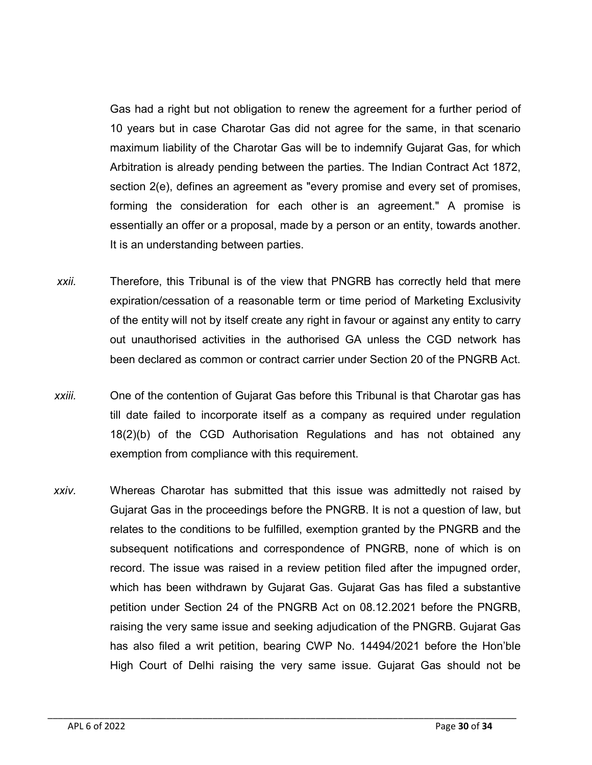Gas had a right but not obligation to renew the agreement for a further period of 10 years but in case Charotar Gas did not agree for the same, in that scenario maximum liability of the Charotar Gas will be to indemnify Gujarat Gas, for which Arbitration is already pending between the parties. The Indian Contract Act 1872, section 2(e), defines an agreement as "every promise and every set of promises, forming the consideration for each other is an agreement." A promise is essentially an offer or a proposal, made by a person or an entity, towards another. It is an understanding between parties.

- *xxii.* Therefore, this Tribunal is of the view that PNGRB has correctly held that mere expiration/cessation of a reasonable term or time period of Marketing Exclusivity of the entity will not by itself create any right in favour or against any entity to carry out unauthorised activities in the authorised GA unless the CGD network has been declared as common or contract carrier under Section 20 of the PNGRB Act.
- *xxiii.* One of the contention of Gujarat Gas before this Tribunal is that Charotar gas has till date failed to incorporate itself as a company as required under regulation 18(2)(b) of the CGD Authorisation Regulations and has not obtained any exemption from compliance with this requirement.
- *xxiv.* Whereas Charotar has submitted that this issue was admittedly not raised by Gujarat Gas in the proceedings before the PNGRB. It is not a question of law, but relates to the conditions to be fulfilled, exemption granted by the PNGRB and the subsequent notifications and correspondence of PNGRB, none of which is on record. The issue was raised in a review petition filed after the impugned order, which has been withdrawn by Gujarat Gas. Gujarat Gas has filed a substantive petition under Section 24 of the PNGRB Act on 08.12.2021 before the PNGRB, raising the very same issue and seeking adjudication of the PNGRB. Gujarat Gas has also filed a writ petition, bearing CWP No. 14494/2021 before the Hon'ble High Court of Delhi raising the very same issue. Gujarat Gas should not be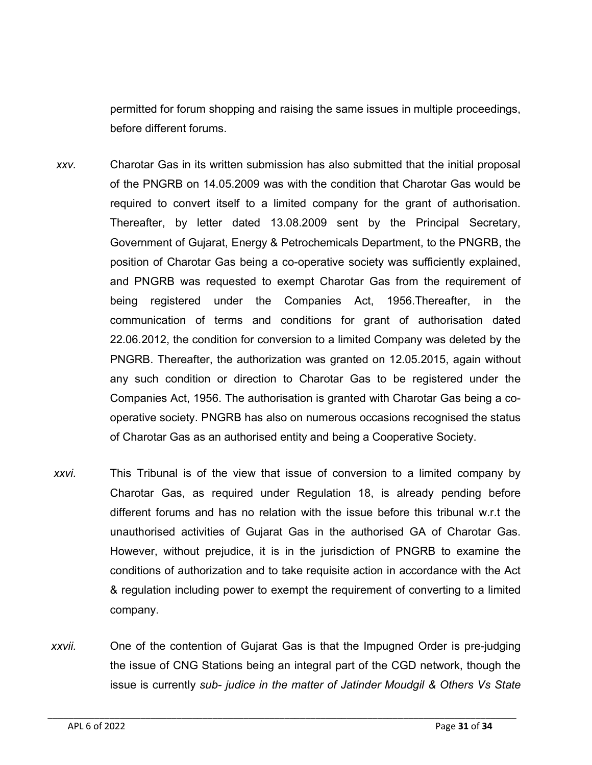permitted for forum shopping and raising the same issues in multiple proceedings, before different forums.

- *xxv.* Charotar Gas in its written submission has also submitted that the initial proposal of the PNGRB on 14.05.2009 was with the condition that Charotar Gas would be required to convert itself to a limited company for the grant of authorisation. Thereafter, by letter dated 13.08.2009 sent by the Principal Secretary, Government of Gujarat, Energy & Petrochemicals Department, to the PNGRB, the position of Charotar Gas being a co-operative society was sufficiently explained, and PNGRB was requested to exempt Charotar Gas from the requirement of being registered under the Companies Act, 1956.Thereafter, in the communication of terms and conditions for grant of authorisation dated 22.06.2012, the condition for conversion to a limited Company was deleted by the PNGRB. Thereafter, the authorization was granted on 12.05.2015, again without any such condition or direction to Charotar Gas to be registered under the Companies Act, 1956. The authorisation is granted with Charotar Gas being a cooperative society. PNGRB has also on numerous occasions recognised the status of Charotar Gas as an authorised entity and being a Cooperative Society.
- *xxvi.* This Tribunal is of the view that issue of conversion to a limited company by Charotar Gas, as required under Regulation 18, is already pending before different forums and has no relation with the issue before this tribunal w.r.t the unauthorised activities of Gujarat Gas in the authorised GA of Charotar Gas. However, without prejudice, it is in the jurisdiction of PNGRB to examine the conditions of authorization and to take requisite action in accordance with the Act & regulation including power to exempt the requirement of converting to a limited company.
- *xxvii.* One of the contention of Gujarat Gas is that the Impugned Order is pre-judging the issue of CNG Stations being an integral part of the CGD network, though the issue is currently *sub- judice in the matter of Jatinder Moudgil & Others Vs State*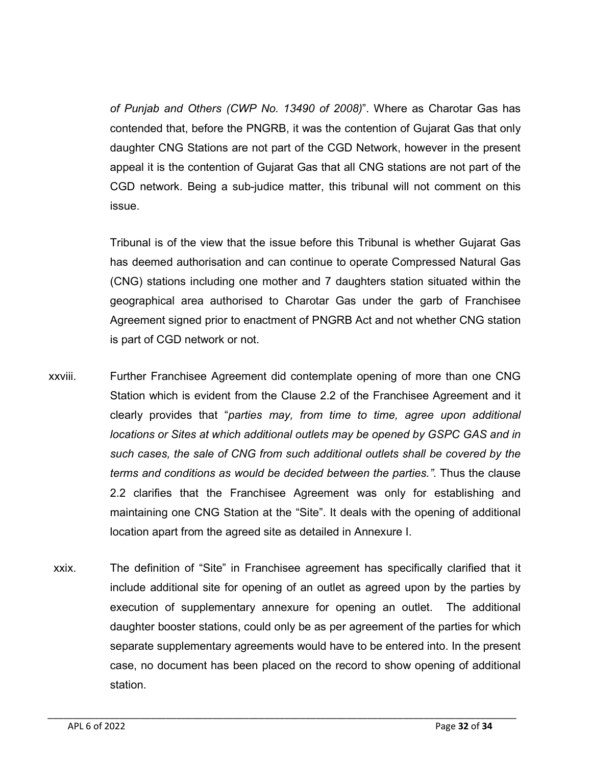*of Punjab and Others (CWP No. 13490 of 2008)*". Where as Charotar Gas has contended that, before the PNGRB, it was the contention of Gujarat Gas that only daughter CNG Stations are not part of the CGD Network, however in the present appeal it is the contention of Gujarat Gas that all CNG stations are not part of the CGD network. Being a sub-judice matter, this tribunal will not comment on this issue.

Tribunal is of the view that the issue before this Tribunal is whether Gujarat Gas has deemed authorisation and can continue to operate Compressed Natural Gas (CNG) stations including one mother and 7 daughters station situated within the geographical area authorised to Charotar Gas under the garb of Franchisee Agreement signed prior to enactment of PNGRB Act and not whether CNG station is part of CGD network or not.

- xxviii. Further Franchisee Agreement did contemplate opening of more than one CNG Station which is evident from the Clause 2.2 of the Franchisee Agreement and it clearly provides that "*parties may, from time to time, agree upon additional locations or Sites at which additional outlets may be opened by GSPC GAS and in such cases, the sale of CNG from such additional outlets shall be covered by the terms and conditions as would be decided between the parties."*. Thus the clause 2.2 clarifies that the Franchisee Agreement was only for establishing and maintaining one CNG Station at the "Site". It deals with the opening of additional location apart from the agreed site as detailed in Annexure I.
- xxix. The definition of "Site" in Franchisee agreement has specifically clarified that it include additional site for opening of an outlet as agreed upon by the parties by execution of supplementary annexure for opening an outlet. The additional daughter booster stations, could only be as per agreement of the parties for which separate supplementary agreements would have to be entered into. In the present case, no document has been placed on the record to show opening of additional station.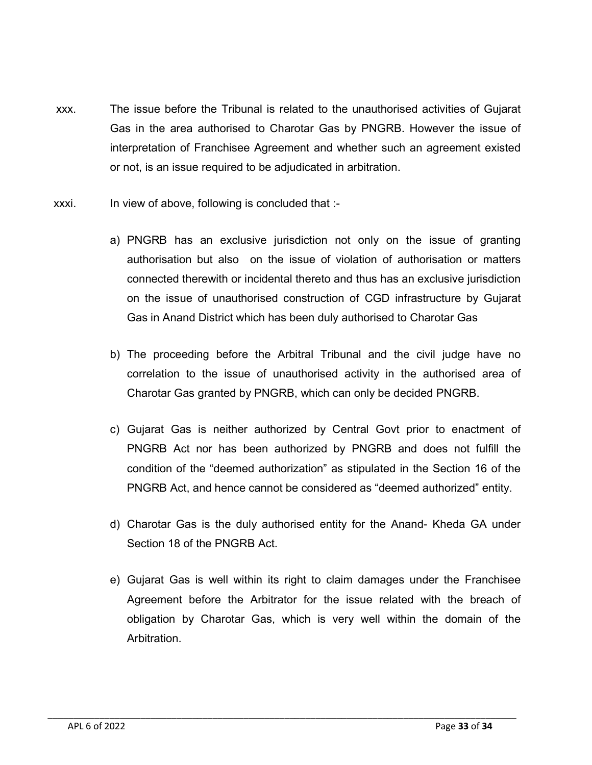- xxx. The issue before the Tribunal is related to the unauthorised activities of Gujarat Gas in the area authorised to Charotar Gas by PNGRB. However the issue of interpretation of Franchisee Agreement and whether such an agreement existed or not, is an issue required to be adjudicated in arbitration.
- xxxi. In view of above, following is concluded that :
	- a) PNGRB has an exclusive jurisdiction not only on the issue of granting authorisation but also on the issue of violation of authorisation or matters connected therewith or incidental thereto and thus has an exclusive jurisdiction on the issue of unauthorised construction of CGD infrastructure by Gujarat Gas in Anand District which has been duly authorised to Charotar Gas
	- b) The proceeding before the Arbitral Tribunal and the civil judge have no correlation to the issue of unauthorised activity in the authorised area of Charotar Gas granted by PNGRB, which can only be decided PNGRB.
	- c) Gujarat Gas is neither authorized by Central Govt prior to enactment of PNGRB Act nor has been authorized by PNGRB and does not fulfill the condition of the "deemed authorization" as stipulated in the Section 16 of the PNGRB Act, and hence cannot be considered as "deemed authorized" entity.
	- d) Charotar Gas is the duly authorised entity for the Anand- Kheda GA under Section 18 of the PNGRB Act.
	- e) Gujarat Gas is well within its right to claim damages under the Franchisee Agreement before the Arbitrator for the issue related with the breach of obligation by Charotar Gas, which is very well within the domain of the Arbitration.